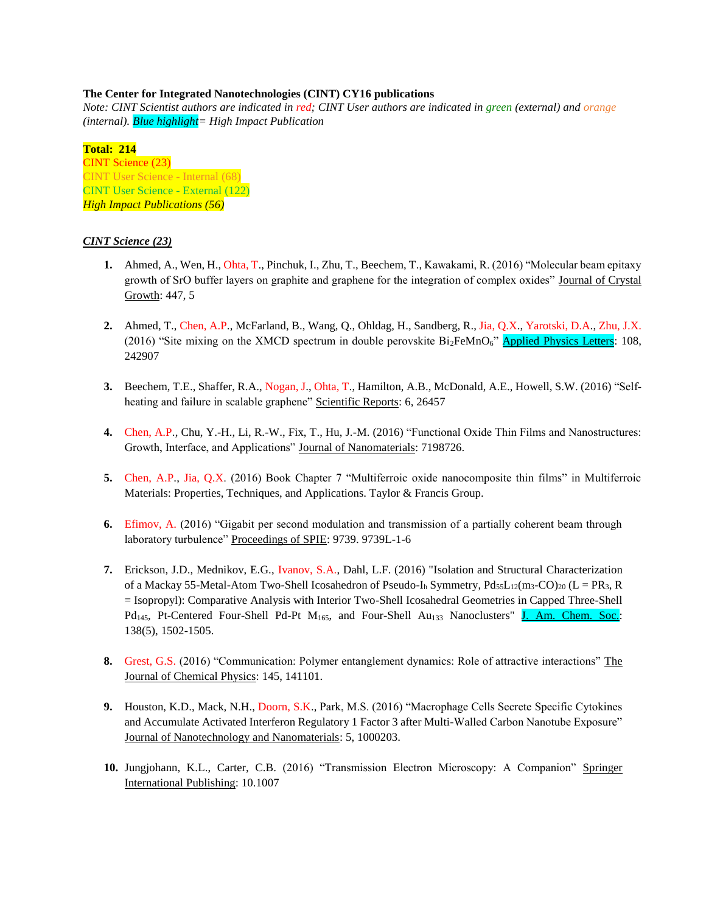### **The Center for Integrated Nanotechnologies (CINT) CY16 publications**

*Note: CINT Scientist authors are indicated in red; CINT User authors are indicated in green (external) and orange (internal). Blue highlight= High Impact Publication*

**Total: 214** CINT Science (23) CINT User Science - Internal (68) CINT User Science - External (122) *High Impact Publications (56)*

### *CINT Science (23)*

- **1.** Ahmed, A., Wen, H., Ohta, T., Pinchuk, I., Zhu, T., Beechem, T., Kawakami, R. (2016) "Molecular beam epitaxy growth of SrO buffer layers on graphite and graphene for the integration of complex oxides" Journal of Crystal Growth: 447, 5
- **2.** Ahmed, T., Chen, A.P., McFarland, B., Wang, Q., Ohldag, H., Sandberg, R., Jia, Q.X., Yarotski, D.A., Zhu, J.X. (2016) "Site mixing on the XMCD spectrum in double perovskite  $Bi_2FeMnO<sub>6</sub>$ " Applied Physics Letters: 108, 242907
- **3.** Beechem, T.E., Shaffer, R.A., Nogan, J., Ohta, T., Hamilton, A.B., McDonald, A.E., Howell, S.W. (2016) "Selfheating and failure in scalable graphene" Scientific Reports: 6, 26457
- **4.** Chen, A.P., Chu, Y.-H., Li, R.-W., Fix, T., Hu, J.-M. (2016) "Functional Oxide Thin Films and Nanostructures: Growth, Interface, and Applications" Journal of Nanomaterials: 7198726.
- **5.** Chen, A.P., Jia, Q.X. (2016) Book Chapter 7 "Multiferroic oxide nanocomposite thin films" in Multiferroic Materials: Properties, Techniques, and Applications. Taylor & Francis Group.
- **6.** Efimov, A. (2016) "Gigabit per second modulation and transmission of a partially coherent beam through laboratory turbulence" Proceedings of SPIE: 9739. 9739L-1-6
- **7.** Erickson, J.D., Mednikov, E.G., Ivanov, S.A., Dahl, L.F. (2016) "Isolation and Structural Characterization of a Mackay 55-Metal-Atom Two-Shell Icosahedron of Pseudo-I<sub>h</sub> Symmetry,  $Pd_{55}L_{12}(m_3-CO)_{20}$  (L = PR<sub>3</sub>, R = Isopropyl): Comparative Analysis with Interior Two-Shell Icosahedral Geometries in Capped Three-Shell Pd<sub>145</sub>, Pt-Centered Four-Shell Pd-Pt M<sub>165</sub>, and Four-Shell Au<sub>133</sub> Nanoclusters" J. Am. Chem. Soc.: 138(5), 1502-1505.
- **8.** Grest, G.S. (2016) "Communication: Polymer entanglement dynamics: Role of attractive interactions" The Journal of Chemical Physics: 145, 141101.
- **9.** Houston, K.D., Mack, N.H., Doorn, S.K., Park, M.S. (2016) "Macrophage Cells Secrete Specific Cytokines and Accumulate Activated Interferon Regulatory 1 Factor 3 after Multi-Walled Carbon Nanotube Exposure" Journal of Nanotechnology and Nanomaterials: 5, 1000203.
- **10.** Jungjohann, K.L., Carter, C.B. (2016) "Transmission Electron Microscopy: A Companion" Springer International Publishing: 10.1007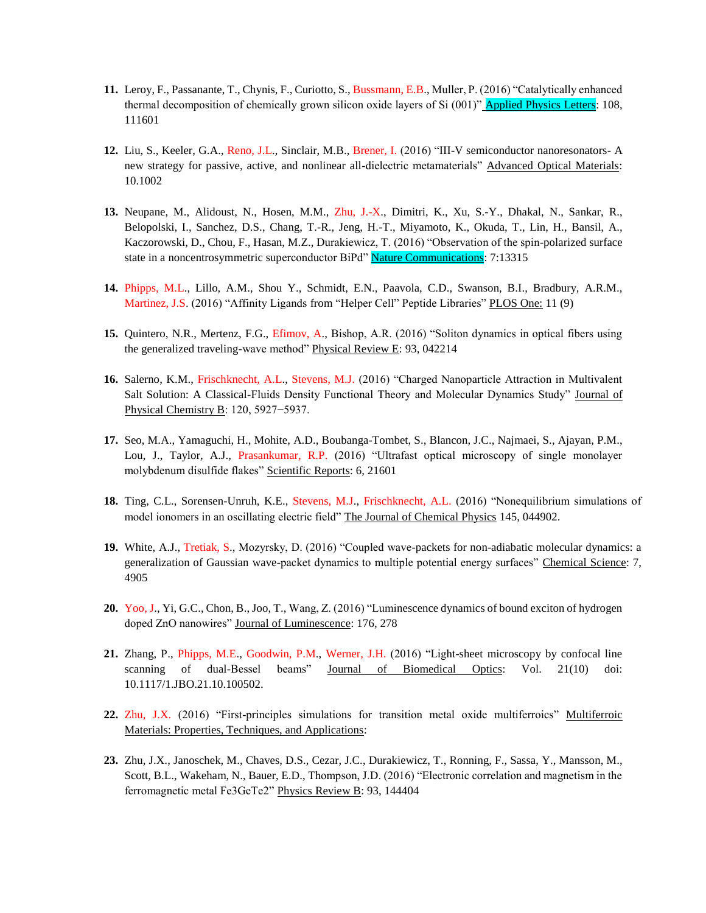- **11.** Leroy, F., Passanante, T., Chynis, F., Curiotto, S., Bussmann, E.B., Muller, P. (2016) "Catalytically enhanced thermal decomposition of chemically grown silicon oxide layers of Si (001)" Applied Physics Letters: 108, 111601
- **12.** Liu, S., Keeler, G.A., Reno, J.L., Sinclair, M.B., Brener, I. (2016) "III-V semiconductor nanoresonators- A new strategy for passive, active, and nonlinear all-dielectric metamaterials" Advanced Optical Materials: 10.1002
- **13.** Neupane, M., Alidoust, N., Hosen, M.M., Zhu, J.-X., Dimitri, K., Xu, S.-Y., Dhakal, N., Sankar, R., Belopolski, I., Sanchez, D.S., Chang, T.-R., Jeng, H.-T., Miyamoto, K., Okuda, T., Lin, H., Bansil, A., Kaczorowski, D., Chou, F., Hasan, M.Z., Durakiewicz, T. (2016) "Observation of the spin-polarized surface state in a noncentrosymmetric superconductor BiPd" Nature Communications: 7:13315
- **14.** Phipps, M.L., Lillo, A.M., Shou Y., Schmidt, E.N., Paavola, C.D., Swanson, B.I., Bradbury, A.R.M., Martinez, J.S. (2016) "Affinity Ligands from "Helper Cell" Peptide Libraries" PLOS One: 11 (9)
- **15.** Quintero, N.R., Mertenz, F.G., Efimov, A., Bishop, A.R. (2016) "Soliton dynamics in optical fibers using the generalized traveling-wave method" Physical Review E: 93, 042214
- **16.** Salerno, K.M., Frischknecht, A.L., Stevens, M.J. (2016) "Charged Nanoparticle Attraction in Multivalent Salt Solution: A Classical-Fluids Density Functional Theory and Molecular Dynamics Study" Journal of Physical Chemistry B: 120, 5927−5937.
- **17.** Seo, M.A., Yamaguchi, H., Mohite, A.D., Boubanga-Tombet, S., Blancon, J.C., Najmaei, S., Ajayan, P.M., Lou, J., Taylor, A.J., Prasankumar, R.P. (2016) "Ultrafast optical microscopy of single monolayer molybdenum disulfide flakes" Scientific Reports: 6, 21601
- **18.** Ting, C.L., Sorensen-Unruh, K.E., Stevens, M.J., Frischknecht, A.L. (2016) "Nonequilibrium simulations of model ionomers in an oscillating electric field" The Journal of Chemical Physics 145, 044902.
- **19.** White, A.J., Tretiak, S., Mozyrsky, D. (2016) "Coupled wave-packets for non-adiabatic molecular dynamics: a generalization of Gaussian wave-packet dynamics to multiple potential energy surfaces" Chemical Science: 7, 4905
- **20.** Yoo, J., Yi, G.C., Chon, B., Joo, T., Wang, Z. (2016) "Luminescence dynamics of bound exciton of hydrogen doped ZnO nanowires" Journal of Luminescence: 176, 278
- **21.** Zhang, P., Phipps, M.E., Goodwin, P.M., Werner, J.H. (2016) "Light-sheet microscopy by confocal line scanning of dual-Bessel beams" Journal of Biomedical Optics: Vol. 21(10) doi: 10.1117/1.JBO.21.10.100502.
- **22.** Zhu, J.X. (2016) "First-principles simulations for transition metal oxide multiferroics" Multiferroic Materials: Properties, Techniques, and Applications:
- **23.** Zhu, J.X., Janoschek, M., Chaves, D.S., Cezar, J.C., Durakiewicz, T., Ronning, F., Sassa, Y., Mansson, M., Scott, B.L., Wakeham, N., Bauer, E.D., Thompson, J.D. (2016) "Electronic correlation and magnetism in the ferromagnetic metal Fe3GeTe2" Physics Review B: 93, 144404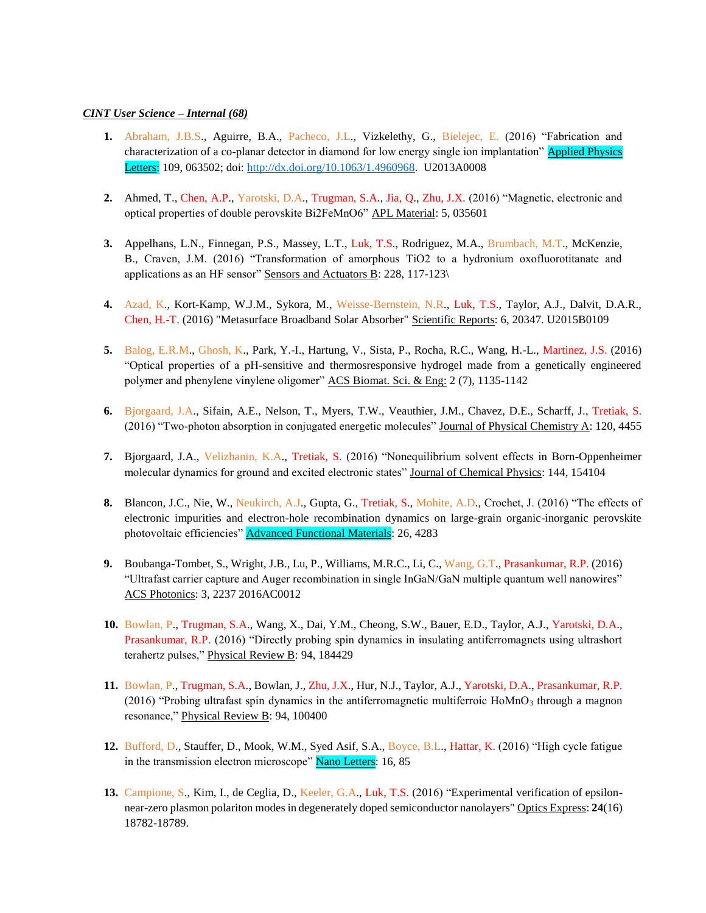### *CINT User Science – Internal (68)*

- **1.** Abraham, J.B.S., Aguirre, B.A., Pacheco, J.L., Vizkelethy, G., Bielejec, E. (2016) "Fabrication and characterization of a co-planar detector in diamond for low energy single ion implantation" Applied Physics Letters: 109, 063502; doi: [http://dx.doi.org/10.1063/1.4960968.](http://dx.doi.org/10.1063/1.4960968) U2013A0008
- **2.** Ahmed, T., Chen, A.P., Yarotski, D.A., Trugman, S.A., Jia, Q., Zhu, J.X. (2016) "Magnetic, electronic and optical properties of double perovskite Bi2FeMnO6" APL Material: 5, 035601
- **3.** Appelhans, L.N., Finnegan, P.S., Massey, L.T., Luk, T.S., Rodriguez, M.A., Brumbach, M.T., McKenzie, B., Craven, J.M. (2016) "Transformation of amorphous TiO2 to a hydronium oxofluorotitanate and applications as an HF sensor" Sensors and Actuators B: 228, 117-123\
- **4.** Azad, K., Kort-Kamp, W.J.M., Sykora, M., Weisse-Bernstein, N.R., Luk, T.S., Taylor, A.J., Dalvit, D.A.R., Chen, H.-T. (2016) "Metasurface Broadband Solar Absorber" Scientific Reports: 6, 20347. U2015B0109
- **5.** Balog, E.R.M., Ghosh, K., Park, Y.-I., Hartung, V., Sista, P., Rocha, R.C., Wang, H.-L., Martinez, J.S. (2016) "Optical properties of a pH-sensitive and thermosresponsive hydrogel made from a genetically engineered polymer and phenylene vinylene oligomer" ACS Biomat. Sci. & Eng: 2 (7), 1135-1142
- **6.** Bjorgaard, J.A., Sifain, A.E., Nelson, T., Myers, T.W., Veauthier, J.M., Chavez, D.E., Scharff, J., Tretiak, S. (2016) "Two-photon absorption in conjugated energetic molecules" Journal of Physical Chemistry A: 120, 4455
- **7.** Bjorgaard, J.A., Velizhanin, K.A., Tretiak, S. (2016) "Nonequilibrium solvent effects in Born-Oppenheimer molecular dynamics for ground and excited electronic states" Journal of Chemical Physics: 144, 154104
- **8.** Blancon, J.C., Nie, W., Neukirch, A.J., Gupta, G., Tretiak, S., Mohite, A.D., Crochet, J. (2016) "The effects of electronic impurities and electron-hole recombination dynamics on large-grain organic-inorganic perovskite photovoltaic efficiencies" **Advanced Functional Materials**: 26, 4283
- **9.** Boubanga-Tombet, S., Wright, J.B., Lu, P., Williams, M.R.C., Li, C., Wang, G.T., Prasankumar, R.P. (2016) "Ultrafast carrier capture and Auger recombination in single InGaN/GaN multiple quantum well nanowires" ACS Photonics: 3, 2237 2016AC0012
- **10.** Bowlan, P., Trugman, S.A., Wang, X., Dai, Y.M., Cheong, S.W., Bauer, E.D., Taylor, A.J., Yarotski, D.A., Prasankumar, R.P. (2016) "Directly probing spin dynamics in insulating antiferromagnets using ultrashort terahertz pulses," Physical Review B: 94, 184429
- **11.** Bowlan, P., Trugman, S.A., Bowlan, J., Zhu, J.X., Hur, N.J., Taylor, A.J., Yarotski, D.A., Prasankumar, R.P.  $(2016)$  "Probing ultrafast spin dynamics in the antiferromagnetic multiferroic HoMnO<sub>3</sub> through a magnon resonance," Physical Review B: 94, 100400
- **12.** Bufford, D., Stauffer, D., Mook, W.M., Syed Asif, S.A., Boyce, B.L., Hattar, K. (2016) "High cycle fatigue in the transmission electron microscope" Nano Letters: 16, 85
- **13.** Campione, S., Kim, I., de Ceglia, D., Keeler, G.A., Luk, T.S. (2016) "Experimental verification of epsilonnear-zero plasmon polariton modes in degenerately doped semiconductor nanolayers" Optics Express: **24**(16) 18782-18789.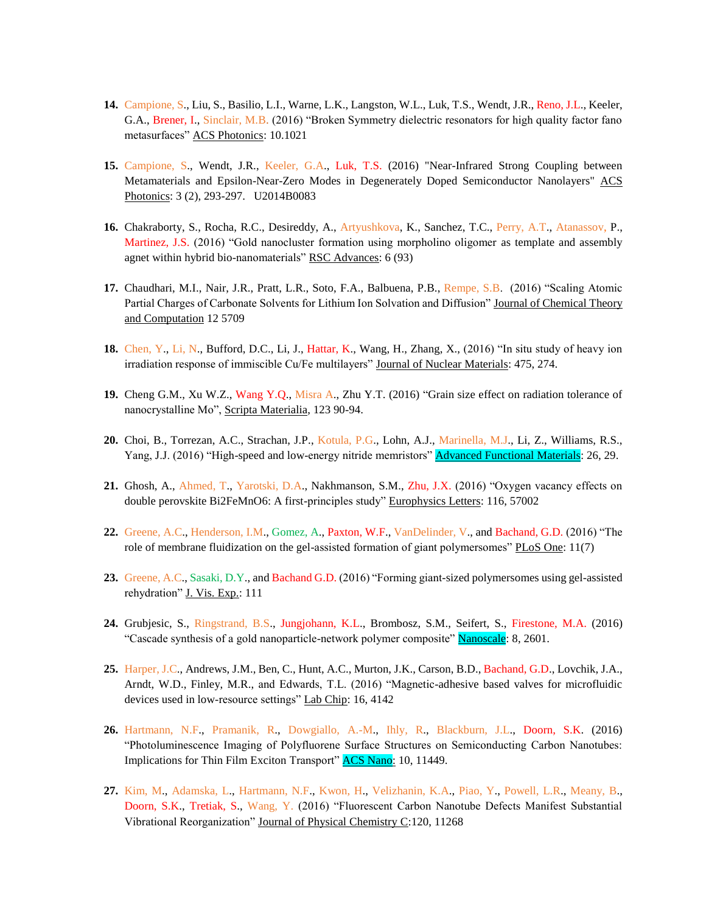- **14.** Campione, S., Liu, S., Basilio, L.I., Warne, L.K., Langston, W.L., Luk, T.S., Wendt, J.R., Reno, J.L., Keeler, G.A., Brener, I., Sinclair, M.B. (2016) "Broken Symmetry dielectric resonators for high quality factor fano metasurfaces" ACS Photonics: 10.1021
- **15.** Campione, S., Wendt, J.R., Keeler, G.A., Luk, T.S. (2016) "Near-Infrared Strong Coupling between Metamaterials and Epsilon-Near-Zero Modes in Degenerately Doped Semiconductor Nanolayers" ACS Photonics: 3 (2), 293-297. U2014B0083
- **16.** Chakraborty, S., Rocha, R.C., Desireddy, A., Artyushkova, K., Sanchez, T.C., Perry, A.T., Atanassov, P., Martinez, J.S. (2016) "Gold nanocluster formation using morpholino oligomer as template and assembly agnet within hybrid bio-nanomaterials" RSC Advances: 6 (93)
- **17.** Chaudhari, M.I., Nair, J.R., Pratt, L.R., Soto, F.A., Balbuena, P.B., Rempe, S.B. (2016) "Scaling Atomic Partial Charges of Carbonate Solvents for Lithium Ion Solvation and Diffusion" Journal of Chemical Theory and Computation 12 5709
- **18.** Chen, Y., Li, N., Bufford, D.C., Li, J., Hattar, K., Wang, H., Zhang, X., (2016) "In situ study of heavy ion irradiation response of immiscible Cu/Fe multilayers" Journal of Nuclear Materials: 475, 274.
- **19.** Cheng G.M., Xu W.Z., Wang Y.Q., Misra A., Zhu Y.T. (2016) "Grain size effect on radiation tolerance of nanocrystalline Mo", Scripta Materialia, 123 90-94.
- **20.** Choi, B., Torrezan, A.C., Strachan, J.P., Kotula, P.G., Lohn, A.J., Marinella, M.J., Li, Z., Williams, R.S., Yang, J.J. (2016) "High-speed and low-energy nitride memristors" **Advanced Functional Materials**: 26, 29.
- **21.** Ghosh, A., Ahmed, T., Yarotski, D.A., Nakhmanson, S.M., Zhu, J.X. (2016) "Oxygen vacancy effects on double perovskite Bi2FeMnO6: A first-principles study" Europhysics Letters: 116, 57002
- **22.** Greene, A.C., Henderson, I.M., Gomez, A., Paxton, W.F., VanDelinder, V., and Bachand, G.D. (2016) "The role of membrane fluidization on the gel-assisted formation of giant polymersomes" PLoS One: 11(7)
- **23.** Greene, A.C., Sasaki, D.Y., and Bachand G.D. (2016) "Forming giant-sized polymersomes using gel-assisted rehydration" J. Vis. Exp.: 111
- **24.** Grubjesic, S., Ringstrand, B.S., Jungjohann, K.L., Brombosz, S.M., Seifert, S., Firestone, M.A. (2016) "Cascade synthesis of a gold nanoparticle-network polymer composite" Nanoscale: 8, 2601.
- **25.** Harper, J.C., Andrews, J.M., Ben, C., Hunt, A.C., Murton, J.K., Carson, B.D., Bachand, G.D., Lovchik, J.A., Arndt, W.D., Finley, M.R., and Edwards, T.L. (2016) "Magnetic-adhesive based valves for microfluidic devices used in low-resource settings" Lab Chip: 16, 4142
- **26.** Hartmann, N.F., Pramanik, R., Dowgiallo, A.-M., Ihly, R., Blackburn, J.L., Doorn, S.K. (2016) "Photoluminescence Imaging of Polyfluorene Surface Structures on Semiconducting Carbon Nanotubes: Implications for Thin Film Exciton Transport" **ACS Nano:** 10, 11449.
- **27.** Kim, M., Adamska, L., Hartmann, N.F., Kwon, H., Velizhanin, K.A., Piao, Y., Powell, L.R., Meany, B., Doorn, S.K., Tretiak, S., Wang, Y. (2016) "Fluorescent Carbon Nanotube Defects Manifest Substantial Vibrational Reorganization" Journal of Physical Chemistry C:120, 11268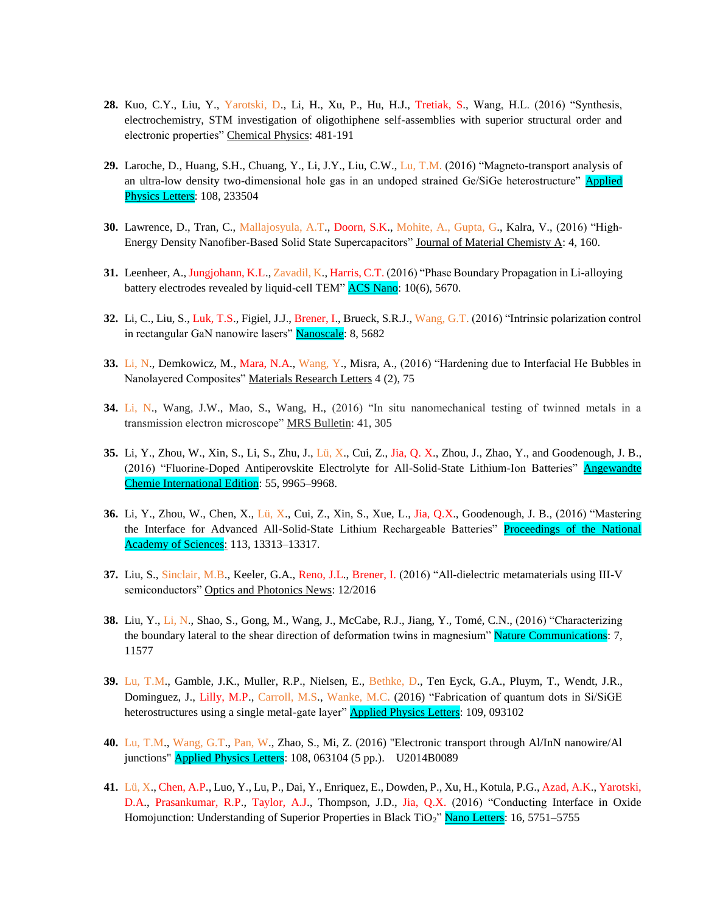- **28.** Kuo, C.Y., Liu, Y., Yarotski, D., Li, H., Xu, P., Hu, H.J., Tretiak, S., Wang, H.L. (2016) "Synthesis, electrochemistry, STM investigation of oligothiphene self-assemblies with superior structural order and electronic properties" Chemical Physics: 481-191
- **29.** Laroche, D., Huang, S.H., Chuang, Y., Li, J.Y., Liu, C.W., Lu, T.M. (2016) "Magneto-transport analysis of an ultra-low density two-dimensional hole gas in an undoped strained Ge/SiGe heterostructure" Applied Physics Letters: 108, 233504
- **30.** Lawrence, D., Tran, C., Mallajosyula, A.T., Doorn, S.K., Mohite, A., Gupta, G., Kalra, V., (2016) "High-Energy Density Nanofiber-Based Solid State Supercapacitors" Journal of Material Chemisty A: 4, 160.
- **31.** Leenheer, A., Jungjohann, K.L., Zavadil, K., Harris, C.T. (2016) "Phase Boundary Propagation in Li-alloying battery electrodes revealed by liquid-cell TEM" ACS Nano: 10(6), 5670.
- **32.** Li, C., Liu, S., Luk, T.S., Figiel, J.J., Brener, I., Brueck, S.R.J., Wang, G.T. (2016) "Intrinsic polarization control in rectangular GaN nanowire lasers" Nanoscale: 8, 5682
- **33.** Li, N., Demkowicz, M., Mara, N.A., Wang, Y., Misra, A., (2016) "Hardening due to Interfacial He Bubbles in Nanolayered Composites" Materials Research Letters 4 (2), 75
- **34.** Li, N., Wang, J.W., Mao, S., Wang, H., (2016) "In situ nanomechanical testing of twinned metals in a transmission electron microscope" MRS Bulletin: 41, 305
- **35.** Li, Y., Zhou, W., Xin, S., Li, S., Zhu, J., Lü, X., Cui, Z., Jia, Q. X., Zhou, J., Zhao, Y., and Goodenough, J. B., (2016) "Fluorine-Doped Antiperovskite Electrolyte for All-Solid-State Lithium-Ion Batteries" Angewandte Chemie International Edition: 55, 9965–9968.
- **36.** Li, Y., Zhou, W., Chen, X., Lü, X., Cui, Z., Xin, S., Xue, L., Jia, Q.X., Goodenough, J. B., (2016) "Mastering the Interface for Advanced All-Solid-State Lithium Rechargeable Batteries" Proceedings of the National Academy of Sciences: 113, 13313-13317.
- **37.** Liu, S., Sinclair, M.B., Keeler, G.A., Reno, J.L., Brener, I. (2016) "All-dielectric metamaterials using III-V semiconductors" Optics and Photonics News: 12/2016
- **38.** Liu, Y., Li, N., Shao, S., Gong, M., Wang, J., McCabe, R.J., Jiang, Y., Tomé, C.N., (2016) "Characterizing the boundary lateral to the shear direction of deformation twins in magnesium" Nature Communications: 7, 11577
- **39.** Lu, T.M., Gamble, J.K., Muller, R.P., Nielsen, E., Bethke, D., Ten Eyck, G.A., Pluym, T., Wendt, J.R., Dominguez, J., Lilly, M.P., Carroll, M.S., Wanke, M.C. (2016) "Fabrication of quantum dots in Si/SiGE heterostructures using a single metal-gate layer" **Applied Physics Letters**: 109, 093102
- **40.** Lu, T.M., Wang, G.T., Pan, W., Zhao, S., Mi, Z. (2016) "Electronic transport through Al/InN nanowire/Al junctions" Applied Physics Letters: 108, 063104 (5 pp.). U2014B0089
- **41.** Lü, X., Chen, A.P., Luo, Y., Lu, P., Dai, Y., Enriquez, E., Dowden, P., Xu, H., Kotula, P.G., Azad, A.K., Yarotski, D.A., Prasankumar, R.P., Taylor, A.J., Thompson, J.D., Jia, Q.X. (2016) "Conducting Interface in Oxide Homojunction: Understanding of Superior Properties in Black TiO<sub>2</sub>" Nano Letters: 16, 5751–5755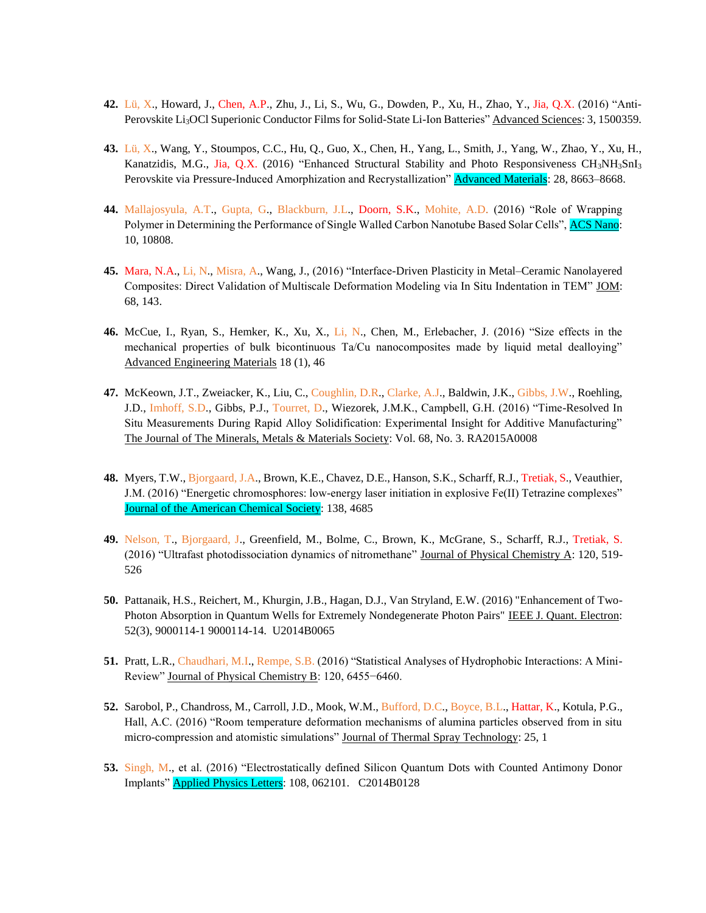- **42.** Lü, X., Howard, J., Chen, A.P., Zhu, J., Li, S., Wu, G., Dowden, P., Xu, H., Zhao, Y., Jia, Q.X. (2016) "Anti-Perovskite Li<sub>3</sub>OCl Superionic Conductor Films for Solid-State Li-Ion Batteries" Advanced Sciences: 3, 1500359.
- **43.** Lü, X., Wang, Y., Stoumpos, C.C., Hu, Q., Guo, X., Chen, H., Yang, L., Smith, J., Yang, W., Zhao, Y., Xu, H., Kanatzidis, M.G., Jia, Q.X. (2016) "Enhanced Structural Stability and Photo Responsiveness CH<sub>3</sub>NH<sub>3</sub>SnI<sub>3</sub> Perovskite via Pressure-Induced Amorphization and Recrystallization" **Advanced Materials**: 28, 8663–8668.
- **44.** Mallajosyula, A.T., Gupta, G., Blackburn, J.L., Doorn, S.K., Mohite, A.D. (2016) "Role of Wrapping Polymer in Determining the Performance of Single Walled Carbon Nanotube Based Solar Cells", ACS Nano: 10, 10808.
- **45.** Mara, N.A., Li, N., Misra, A., Wang, J., (2016) "Interface-Driven Plasticity in Metal–Ceramic Nanolayered Composites: Direct Validation of Multiscale Deformation Modeling via In Situ Indentation in TEM" JOM: 68, 143.
- **46.** McCue, I., Ryan, S., Hemker, K., Xu, X., Li, N., Chen, M., Erlebacher, J. (2016) "Size effects in the mechanical properties of bulk bicontinuous Ta/Cu nanocomposites made by liquid metal dealloying" Advanced Engineering Materials 18 (1), 46
- **47.** McKeown, J.T., Zweiacker, K., Liu, C., Coughlin, D.R., Clarke, A.J., Baldwin, J.K., Gibbs, J.W., Roehling, J.D., Imhoff, S.D., Gibbs, P.J., Tourret, D., Wiezorek, J.M.K., Campbell, G.H. (2016) "Time-Resolved In Situ Measurements During Rapid Alloy Solidification: Experimental Insight for Additive Manufacturing" The Journal of The Minerals, Metals & Materials Society: Vol. 68, No. 3. RA2015A0008
- **48.** Myers, T.W., Bjorgaard, J.A., Brown, K.E., Chavez, D.E., Hanson, S.K., Scharff, R.J., Tretiak, S., Veauthier, J.M. (2016) "Energetic chromosphores: low-energy laser initiation in explosive Fe(II) Tetrazine complexes" Journal of the American Chemical Society: 138, 4685
- **49.** Nelson, T., Bjorgaard, J., Greenfield, M., Bolme, C., Brown, K., McGrane, S., Scharff, R.J., Tretiak, S. (2016) "Ultrafast photodissociation dynamics of nitromethane" Journal of Physical Chemistry A: 120, 519- 526
- **50.** Pattanaik, H.S., Reichert, M., Khurgin, J.B., Hagan, D.J., Van Stryland, E.W. (2016) "Enhancement of Two-Photon Absorption in Quantum Wells for Extremely Nondegenerate Photon Pairs" IEEE J. Quant. Electron: 52(3), 9000114-1 9000114-14. U2014B0065
- **51.** Pratt, L.R., Chaudhari, M.I., Rempe, S.B. (2016) "Statistical Analyses of Hydrophobic Interactions: A Mini-Review" Journal of Physical Chemistry B: 120, 6455−6460.
- **52.** Sarobol, P., Chandross, M., Carroll, J.D., Mook, W.M., Bufford, D.C., Boyce, B.L., Hattar, K., Kotula, P.G., Hall, A.C. (2016) "Room temperature deformation mechanisms of alumina particles observed from in situ micro-compression and atomistic simulations" Journal of Thermal Spray Technology: 25, 1
- **53.** Singh, M., et al. (2016) "Electrostatically defined Silicon Quantum Dots with Counted Antimony Donor Implants" Applied Physics Letters: 108, 062101. C2014B0128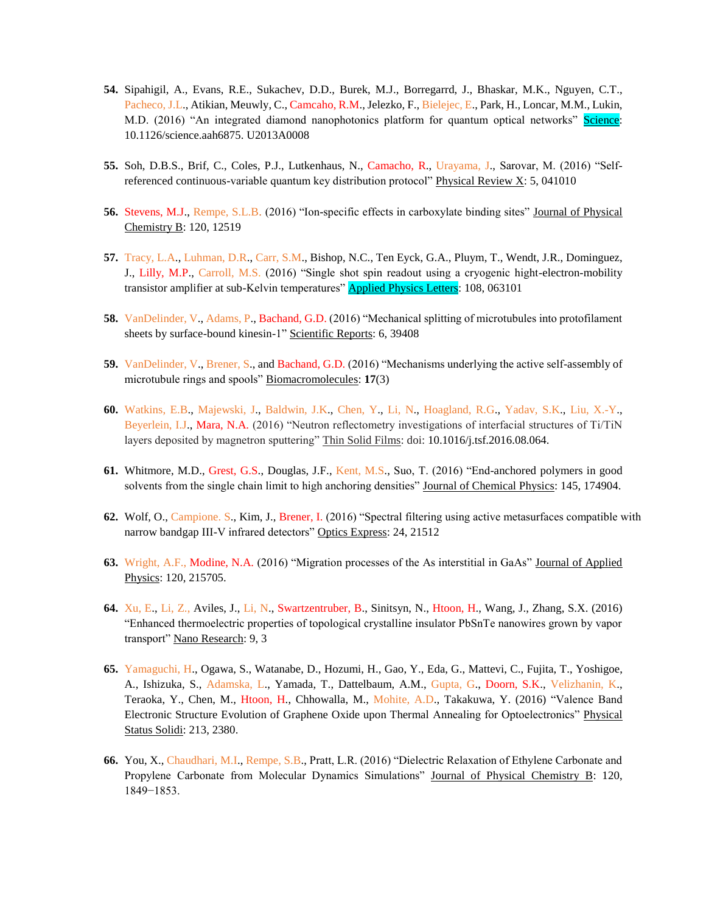- **54.** Sipahigil, A., Evans, R.E., Sukachev, D.D., Burek, M.J., Borregarrd, J., Bhaskar, M.K., Nguyen, C.T., Pacheco, J.L., Atikian, Meuwly, C., Camcaho, R.M., Jelezko, F., Bielejec, E., Park, H., Loncar, M.M., Lukin, M.D. (2016) "An integrated diamond nanophotonics platform for quantum optical networks" Science: 10.1126/science.aah6875. U2013A0008
- **55.** Soh, D.B.S., Brif, C., Coles, P.J., Lutkenhaus, N., Camacho, R., Urayama, J., Sarovar, M. (2016) "Selfreferenced continuous-variable quantum key distribution protocol" Physical Review X: 5, 041010
- **56.** Stevens, M.J., Rempe, S.L.B. (2016) "Ion-specific effects in carboxylate binding sites" Journal of Physical Chemistry B: 120, 12519
- **57.** Tracy, L.A., Luhman, D.R., Carr, S.M., Bishop, N.C., Ten Eyck, G.A., Pluym, T., Wendt, J.R., Dominguez, J., Lilly, M.P., Carroll, M.S. (2016) "Single shot spin readout using a cryogenic hight-electron-mobility transistor amplifier at sub-Kelvin temperatures" **Applied Physics Letters**: 108, 063101
- **58.** VanDelinder, V., Adams, P., Bachand, G.D. (2016) "Mechanical splitting of microtubules into protofilament sheets by surface-bound kinesin-1" Scientific Reports: 6, 39408
- **59.** VanDelinder, V., Brener, S., and Bachand, G.D. (2016) "Mechanisms underlying the active self-assembly of microtubule rings and spools" Biomacromolecules: **17**(3)
- **60.** Watkins, E.B., Majewski, J., Baldwin, J.K., Chen, Y., Li, N., Hoagland, R.G., Yadav, S.K., Liu, X.-Y., Beyerlein, I.J., Mara, N.A. (2016) "Neutron reflectometry investigations of interfacial structures of Ti/TiN layers deposited by magnetron sputtering" Thin Solid Films: doi: 10.1016/j.tsf.2016.08.064.
- **61.** Whitmore, M.D., Grest, G.S., Douglas, J.F., Kent, M.S., Suo, T. (2016) "End-anchored polymers in good solvents from the single chain limit to high anchoring densities" Journal of Chemical Physics: 145, 174904.
- **62.** Wolf, O., Campione. S., Kim, J., Brener, I. (2016) "Spectral filtering using active metasurfaces compatible with narrow bandgap III-V infrared detectors" Optics Express: 24, 21512
- **63.** Wright, A.F., Modine, N.A. (2016) "Migration processes of the As interstitial in GaAs" Journal of Applied Physics: 120, 215705.
- **64.** Xu, E., Li, Z., Aviles, J., Li, N., Swartzentruber, B., Sinitsyn, N., Htoon, H., Wang, J., Zhang, S.X. (2016) "Enhanced thermoelectric properties of topological crystalline insulator PbSnTe nanowires grown by vapor transport" Nano Research: 9, 3
- **65.** Yamaguchi, H., Ogawa, S., Watanabe, D., Hozumi, H., Gao, Y., Eda, G., Mattevi, C., Fujita, T., Yoshigoe, A., Ishizuka, S., Adamska, L., Yamada, T., Dattelbaum, A.M., Gupta, G., Doorn, S.K., Velizhanin, K., Teraoka, Y., Chen, M., Htoon, H., Chhowalla, M., Mohite, A.D., Takakuwa, Y. (2016) "Valence Band Electronic Structure Evolution of Graphene Oxide upon Thermal Annealing for Optoelectronics" Physical Status Solidi: 213, 2380.
- **66.** You, X., Chaudhari, M.I., Rempe, S.B., Pratt, L.R. (2016) "Dielectric Relaxation of Ethylene Carbonate and Propylene Carbonate from Molecular Dynamics Simulations" Journal of Physical Chemistry B: 120, 1849−1853.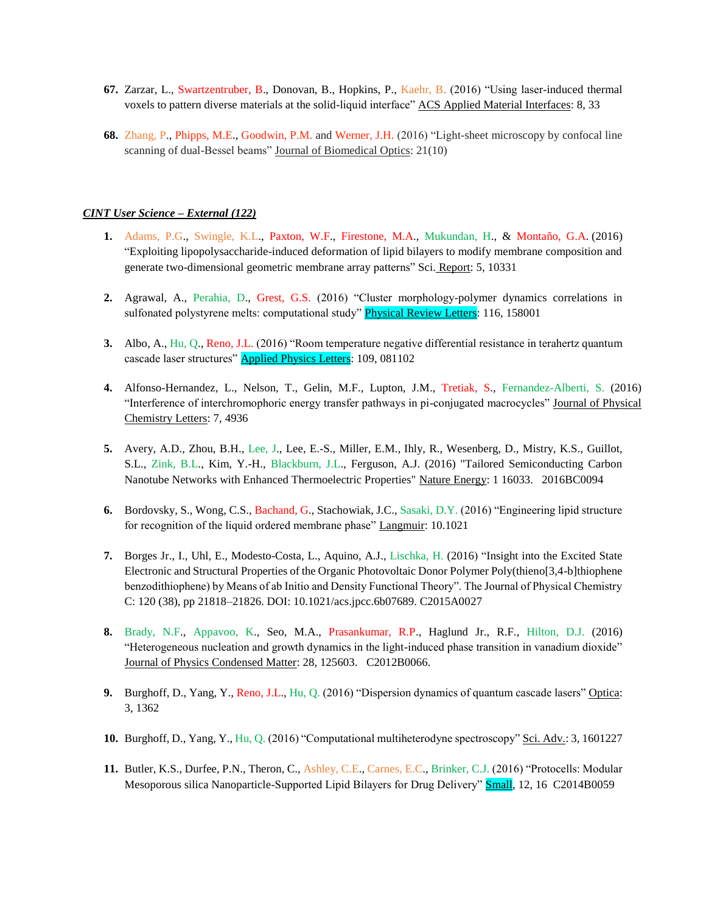- **67.** Zarzar, L., Swartzentruber, B., Donovan, B., Hopkins, P., Kaehr, B. (2016) "Using laser-induced thermal voxels to pattern diverse materials at the solid-liquid interface" ACS Applied Material Interfaces: 8, 33
- **68.** Zhang, P., Phipps, M.E., Goodwin, P.M. and Werner, J.H. (2016) "Light-sheet microscopy by confocal line scanning of dual-Bessel beams" Journal of Biomedical Optics: 21(10)

# *CINT User Science – External (122)*

- **1.** Adams, P.G., Swingle, K.L., Paxton, W.F., Firestone, M.A., Mukundan, H., & Montaño, G.A. (2016) "Exploiting lipopolysaccharide-induced deformation of lipid bilayers to modify membrane composition and generate two-dimensional geometric membrane array patterns" Sci. Report: 5, 10331
- **2.** Agrawal, A., Perahia, D., Grest, G.S. (2016) "Cluster morphology-polymer dynamics correlations in sulfonated polystyrene melts: computational study" Physical Review Letters: 116, 158001
- **3.** Albo, A., Hu, Q., Reno, J.L. (2016) "Room temperature negative differential resistance in terahertz quantum cascade laser structures" **Applied Physics Letters**: 109, 081102
- **4.** Alfonso-Hernandez, L., Nelson, T., Gelin, M.F., Lupton, J.M., Tretiak, S., Fernandez-Alberti, S. (2016) "Interference of interchromophoric energy transfer pathways in pi-conjugated macrocycles" Journal of Physical Chemistry Letters: 7, 4936
- **5.** Avery, A.D., Zhou, B.H., Lee, J., Lee, E.-S., Miller, E.M., Ihly, R., Wesenberg, D., Mistry, K.S., Guillot, S.L., Zink, B.L., Kim, Y.-H., Blackburn, J.L., Ferguson, A.J. (2016) "Tailored Semiconducting Carbon Nanotube Networks with Enhanced Thermoelectric Properties" Nature Energy: 1 16033. 2016BC0094
- **6.** Bordovsky, S., Wong, C.S., Bachand, G., Stachowiak, J.C., Sasaki, D.Y. (2016) "Engineering lipid structure for recognition of the liquid ordered membrane phase" Langmuir: 10.1021
- **7.** Borges Jr., I., Uhl, E., Modesto-Costa, L., Aquino, A.J., Lischka, H. (2016) "Insight into the Excited State Electronic and Structural Properties of the Organic Photovoltaic Donor Polymer Poly(thieno[3,4-b]thiophene benzodithiophene) by Means of ab Initio and Density Functional Theory". The Journal of Physical Chemistry C: 120 (38), pp 21818–21826. DOI: 10.1021/acs.jpcc.6b07689. C2015A0027
- **8.** Brady, N.F., Appavoo, K., Seo, M.A., Prasankumar, R.P., Haglund Jr., R.F., Hilton, D.J. (2016) "Heterogeneous nucleation and growth dynamics in the light-induced phase transition in vanadium dioxide" Journal of Physics Condensed Matter: 28, 125603. C2012B0066.
- **9.** Burghoff, D., Yang, Y., Reno, J.L., Hu, Q. (2016) "Dispersion dynamics of quantum cascade lasers" Optica: 3, 1362
- **10.** Burghoff, D., Yang, Y., Hu, Q. (2016) "Computational multiheterodyne spectroscopy" Sci. Adv.: 3, 1601227
- **11.** Butler, K.S., Durfee, P.N., Theron, C., Ashley, C.E., Carnes, E.C., Brinker, C.J. (2016) "Protocells: Modular Mesoporous silica Nanoparticle-Supported Lipid Bilayers for Drug Delivery" **Small**, 12, 16 C2014B0059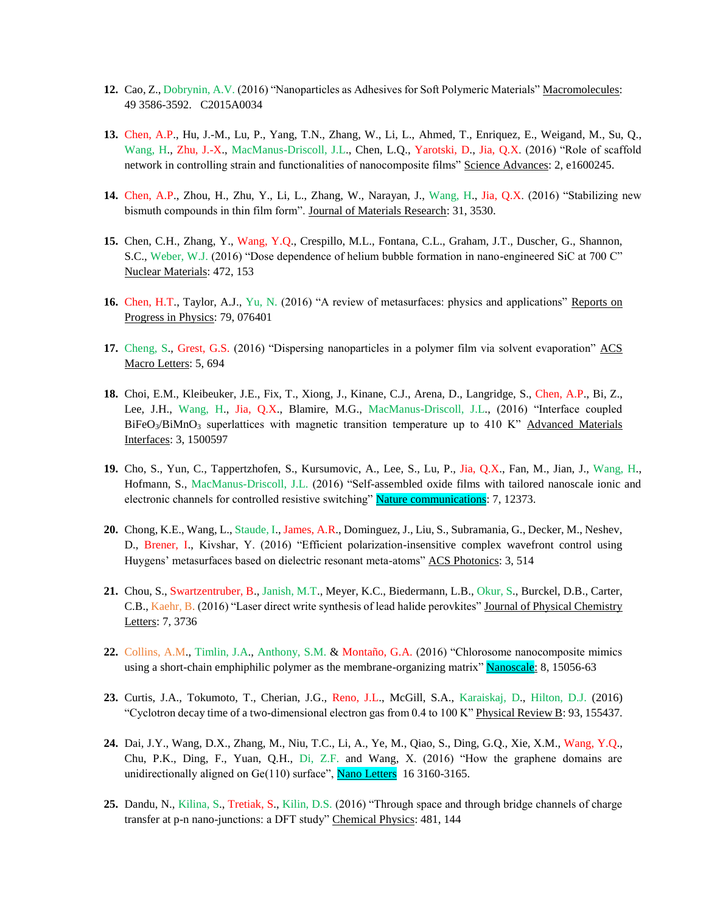- **12.** Cao, Z., Dobrynin, A.V. (2016) "Nanoparticles as Adhesives for Soft Polymeric Materials" Macromolecules: 49 3586-3592. C2015A0034
- **13.** Chen, A.P., Hu, J.-M., Lu, P., Yang, T.N., Zhang, W., Li, L., Ahmed, T., Enriquez, E., Weigand, M., Su, Q., Wang, H., Zhu, J.-X., MacManus-Driscoll, J.L., Chen, L.Q., Yarotski, D., Jia, Q.X. (2016) "Role of scaffold network in controlling strain and functionalities of nanocomposite films" Science Advances: 2, e1600245.
- **14.** Chen, A.P., Zhou, H., Zhu, Y., Li, L., Zhang, W., Narayan, J., Wang, H., Jia, Q.X. (2016) "Stabilizing new bismuth compounds in thin film form". Journal of Materials Research: 31, 3530.
- **15.** Chen, C.H., Zhang, Y., Wang, Y.Q., Crespillo, M.L., Fontana, C.L., Graham, J.T., Duscher, G., Shannon, S.C., Weber, W.J. (2016) "Dose dependence of helium bubble formation in nano-engineered SiC at 700 C" Nuclear Materials: 472, 153
- **16.** Chen, H.T., Taylor, A.J., Yu, N. (2016) "A review of metasurfaces: physics and applications" Reports on Progress in Physics: 79, 076401
- **17.** Cheng, S., Grest, G.S. (2016) "Dispersing nanoparticles in a polymer film via solvent evaporation" ACS Macro Letters: 5, 694
- **18.** Choi, E.M., Kleibeuker, J.E., Fix, T., Xiong, J., Kinane, C.J., Arena, D., Langridge, S., Chen, A.P., Bi, Z., Lee, J.H., Wang, H., Jia, Q.X., Blamire, M.G., MacManus-Driscoll, J.L., (2016) "Interface coupled  $BiFeO<sub>3</sub>/BiMnO<sub>3</sub> superlattices with magnetic transition temperature up to 410 K<sup>2</sup> Advanced Materials$ Interfaces: 3, 1500597
- **19.** Cho, S., Yun, C., Tappertzhofen, S., Kursumovic, A., Lee, S., Lu, P., Jia, Q.X., Fan, M., Jian, J., Wang, H., Hofmann, S., MacManus-Driscoll, J.L. (2016) "Self-assembled oxide films with tailored nanoscale ionic and electronic channels for controlled resistive switching" Nature communications: 7, 12373.
- **20.** Chong, K.E., Wang, L., Staude, I., James, A.R., Dominguez, J., Liu, S., Subramania, G., Decker, M., Neshev, D., Brener, I., Kivshar, Y. (2016) "Efficient polarization-insensitive complex wavefront control using Huygens' metasurfaces based on dielectric resonant meta-atoms" ACS Photonics: 3, 514
- **21.** Chou, S., Swartzentruber, B., Janish, M.T., Meyer, K.C., Biedermann, L.B., Okur, S., Burckel, D.B., Carter, C.B., Kaehr, B. (2016) "Laser direct write synthesis of lead halide perovkites" Journal of Physical Chemistry Letters: 7, 3736
- **22.** Collins, A.M., Timlin, J.A., Anthony, S.M. & Montaño, G.A. (2016) "Chlorosome nanocomposite mimics using a short-chain emphiphilic polymer as the membrane-organizing matrix" Nanoscale: 8, 15056-63
- **23.** Curtis, J.A., Tokumoto, T., Cherian, J.G., Reno, J.L., McGill, S.A., Karaiskaj, D., Hilton, D.J. (2016) "Cyclotron decay time of a two-dimensional electron gas from 0.4 to 100 K" Physical Review B: 93, 155437.
- **24.** Dai, J.Y., Wang, D.X., Zhang, M., Niu, T.C., Li, A., Ye, M., Qiao, S., Ding, G.Q., Xie, X.M., Wang, Y.Q., Chu, P.K., Ding, F., Yuan, Q.H., Di, Z.F. and Wang, X. (2016) "How the graphene domains are unidirectionally aligned on  $Ge(110)$  surface", **Nano Letters** 16 3160-3165.
- **25.** Dandu, N., Kilina, S., Tretiak, S., Kilin, D.S. (2016) "Through space and through bridge channels of charge transfer at p-n nano-junctions: a DFT study" Chemical Physics: 481, 144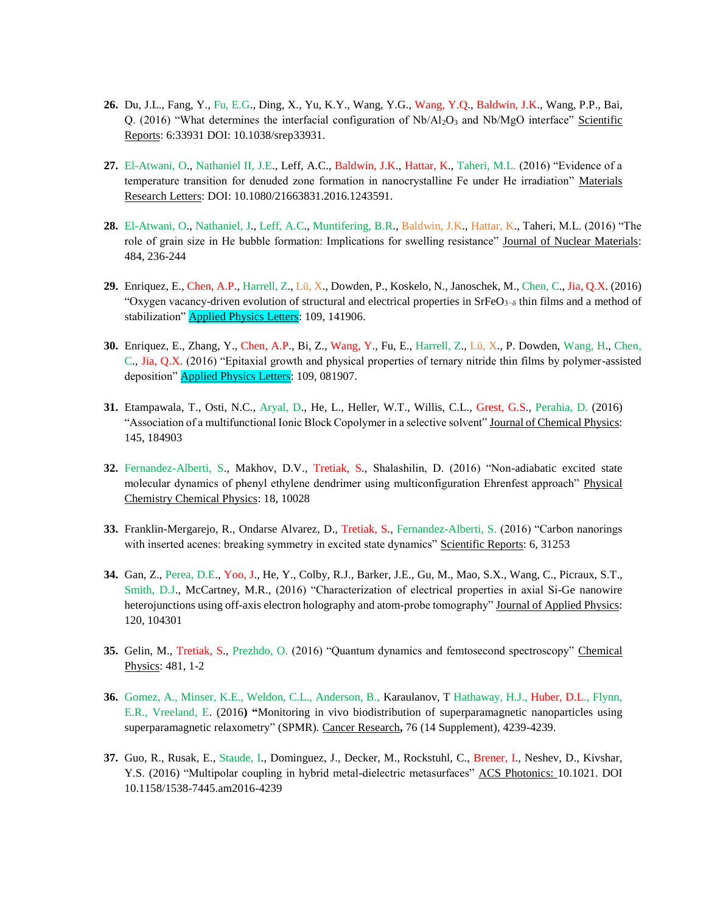- **26.** Du, J.L., Fang, Y., Fu, E.G., Ding, X., Yu, K.Y., Wang, Y.G., Wang, Y.Q., Baldwin, J.K., Wang, P.P., Bai, Q. (2016) "What determines the interfacial configuration of Nb/Al<sub>2</sub>O<sub>3</sub> and Nb/MgO interface" Scientific Reports: 6:33931 DOI: 10.1038/srep33931.
- **27.** El-Atwani, O., Nathaniel II, J.E., Leff, A.C., Baldwin, J.K., Hattar, K., Taheri, M.L. (2016) "Evidence of a temperature transition for denuded zone formation in nanocrystalline Fe under He irradiation" Materials Research Letters: DOI: 10.1080/21663831.2016.1243591.
- **28.** El-Atwani, O., Nathaniel, J., Leff, A.C., Muntifering, B.R., Baldwin, J.K., Hattar, K., Taheri, M.L. (2016) "The role of grain size in He bubble formation: Implications for swelling resistance" Journal of Nuclear Materials: 484, 236-244
- **29.** Enriquez, E., Chen, A.P., Harrell, Z., Lü, X., Dowden, P., Koskelo, N., Janoschek, M., Chen, C., Jia, Q.X. (2016) "Oxygen vacancy-driven evolution of structural and electrical properties in SrFeO<sub>3−δ</sub> thin films and a method of stabilization" **Applied Physics Letters**: 109, 141906.
- **30.** Enriquez, E., Zhang, Y., Chen, A.P., Bi, Z., Wang, Y., Fu, E., Harrell, Z., Lü, X., P. Dowden, Wang, H., Chen, C., Jia, Q.X. (2016) "Epitaxial growth and physical properties of ternary nitride thin films by polymer-assisted deposition" **Applied Physics Letters**: 109, 081907.
- **31.** Etampawala, T., Osti, N.C., Aryal, D., He, L., Heller, W.T., Willis, C.L., Grest, G.S., Perahia, D. (2016) "Association of a multifunctional Ionic Block Copolymer in a selective solvent" Journal of Chemical Physics: 145, 184903
- **32.** Fernandez-Alberti, S., Makhov, D.V., Tretiak, S., Shalashilin, D. (2016) "Non-adiabatic excited state molecular dynamics of phenyl ethylene dendrimer using multiconfiguration Ehrenfest approach" Physical Chemistry Chemical Physics: 18, 10028
- **33.** Franklin-Mergarejo, R., Ondarse Alvarez, D., Tretiak, S., Fernandez-Alberti, S. (2016) "Carbon nanorings with inserted acenes: breaking symmetry in excited state dynamics" Scientific Reports: 6, 31253
- **34.** Gan, Z., Perea, D.E., Yoo, J., He, Y., Colby, R.J., Barker, J.E., Gu, M., Mao, S.X., Wang, C., Picraux, S.T., Smith, D.J., McCartney, M.R., (2016) "Characterization of electrical properties in axial Si-Ge nanowire heterojunctions using off-axis electron holography and atom-probe tomography" Journal of Applied Physics: 120, 104301
- **35.** Gelin, M., Tretiak, S., Prezhdo, O. (2016) "Quantum dynamics and femtosecond spectroscopy" Chemical Physics: 481, 1-2
- **36.** Gomez, A., Minser, K.E., Weldon, C.L., Anderson, B., Karaulanov, T Hathaway, H.J., Huber, D.L., Flynn, E.R., Vreeland, E. (2016**) "**Monitoring in vivo biodistribution of superparamagnetic nanoparticles using superparamagnetic relaxometry" (SPMR). Cancer Research**,** 76 (14 Supplement), 4239-4239.
- **37.** Guo, R., Rusak, E., Staude, I., Dominguez, J., Decker, M., Rockstuhl, C., Brener, I., Neshev, D., Kivshar, Y.S. (2016) "Multipolar coupling in hybrid metal-dielectric metasurfaces" ACS Photonics: 10.1021. DOI 10.1158/1538-7445.am2016-4239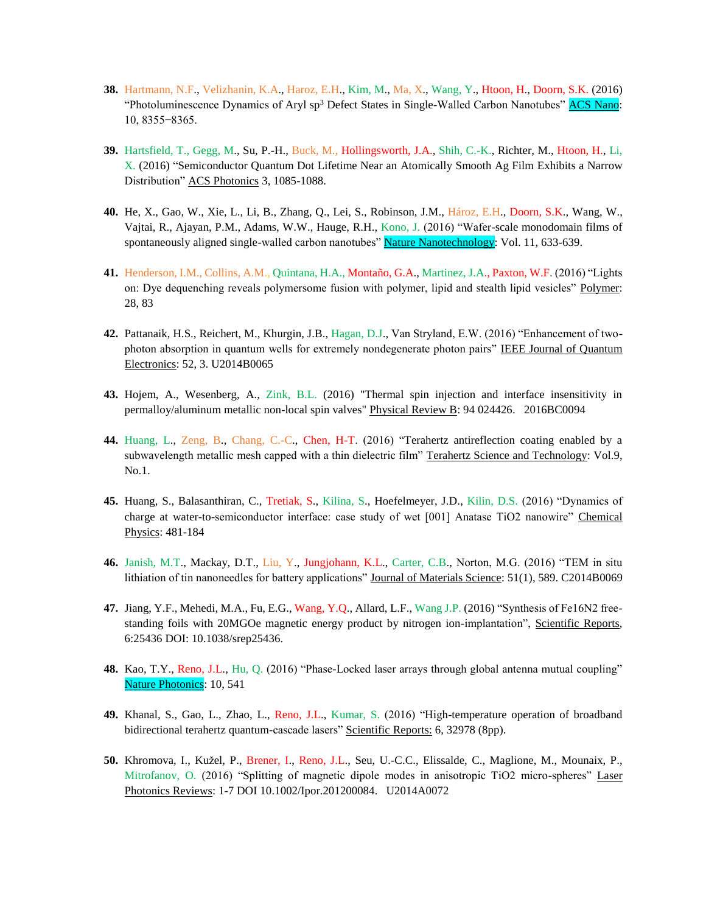- **38.** Hartmann, N.F., Velizhanin, K.A., Haroz, E.H., Kim, M., Ma, X., Wang, Y., Htoon, H., Doorn, S.K. (2016) "Photoluminescence Dynamics of Aryl sp<sup>3</sup> Defect States in Single-Walled Carbon Nanotubes" ACS Nano: 10, 8355−8365.
- **39.** Hartsfield, T., Gegg, M., Su, P.-H., Buck, M., Hollingsworth, J.A., Shih, C.-K., Richter, M., Htoon, H., Li, X. (2016) "Semiconductor Quantum Dot Lifetime Near an Atomically Smooth Ag Film Exhibits a Narrow Distribution" ACS Photonics 3, 1085-1088.
- **40.** He, X., Gao, W., Xie, L., Li, B., Zhang, Q., Lei, S., Robinson, J.M., Hároz, E.H., Doorn, S.K., Wang, W., Vajtai, R., Ajayan, P.M., Adams, W.W., Hauge, R.H., Kono, J. (2016) "Wafer-scale monodomain films of spontaneously aligned single-walled carbon nanotubes" Nature Nanotechnology: Vol. 11, 633-639.
- **41.** Henderson, I.M., Collins, A.M., Quintana, H.A., Montaño, G.A., Martinez, J.A., Paxton, W.F. (2016) "Lights on: Dye dequenching reveals polymersome fusion with polymer, lipid and stealth lipid vesicles" Polymer: 28, 83
- **42.** Pattanaik, H.S., Reichert, M., Khurgin, J.B., Hagan, D.J., Van Stryland, E.W. (2016) "Enhancement of twophoton absorption in quantum wells for extremely nondegenerate photon pairs" IEEE Journal of Quantum Electronics: 52, 3. U2014B0065
- **43.** Hojem, A., Wesenberg, A., Zink, B.L. (2016) "Thermal spin injection and interface insensitivity in permalloy/aluminum metallic non-local spin valves" Physical Review B: 94 024426. 2016BC0094
- **44.** Huang, L., Zeng, B., Chang, C.-C., Chen, H-T. (2016) "Terahertz antireflection coating enabled by a subwavelength metallic mesh capped with a thin dielectric film" Terahertz Science and Technology: Vol.9, No.1.
- **45.** Huang, S., Balasanthiran, C., Tretiak, S., Kilina, S., Hoefelmeyer, J.D., Kilin, D.S. (2016) "Dynamics of charge at water-to-semiconductor interface: case study of wet [001] Anatase TiO2 nanowire" Chemical Physics: 481-184
- **46.** Janish, M.T., Mackay, D.T., Liu, Y., Jungjohann, K.L., Carter, C.B., Norton, M.G. (2016) "TEM in situ lithiation of tin nanoneedles for battery applications" Journal of Materials Science: 51(1), 589. C2014B0069
- **47.** Jiang, Y.F., Mehedi, M.A., Fu, E.G., Wang, Y.Q., Allard, L.F., Wang J.P. (2016) "Synthesis of Fe16N2 freestanding foils with 20MGOe magnetic energy product by nitrogen ion-implantation", Scientific Reports, 6:25436 DOI: 10.1038/srep25436.
- **48.** Kao, T.Y., Reno, J.L., Hu, Q. (2016) "Phase-Locked laser arrays through global antenna mutual coupling" Nature Photonics: 10, 541
- **49.** Khanal, S., Gao, L., Zhao, L., Reno, J.L., Kumar, S. (2016) "High-temperature operation of broadband bidirectional terahertz quantum-cascade lasers" Scientific Reports: 6, 32978 (8pp).
- **50.** Khromova, I., Kužel, P., Brener, I., Reno, J.L., Seu, U.-C.C., Elissalde, C., Maglione, M., Mounaix, P., Mitrofanov, O. (2016) "Splitting of magnetic dipole modes in anisotropic TiO2 micro-spheres" Laser Photonics Reviews: 1-7 DOI 10.1002/Ipor.201200084. U2014A0072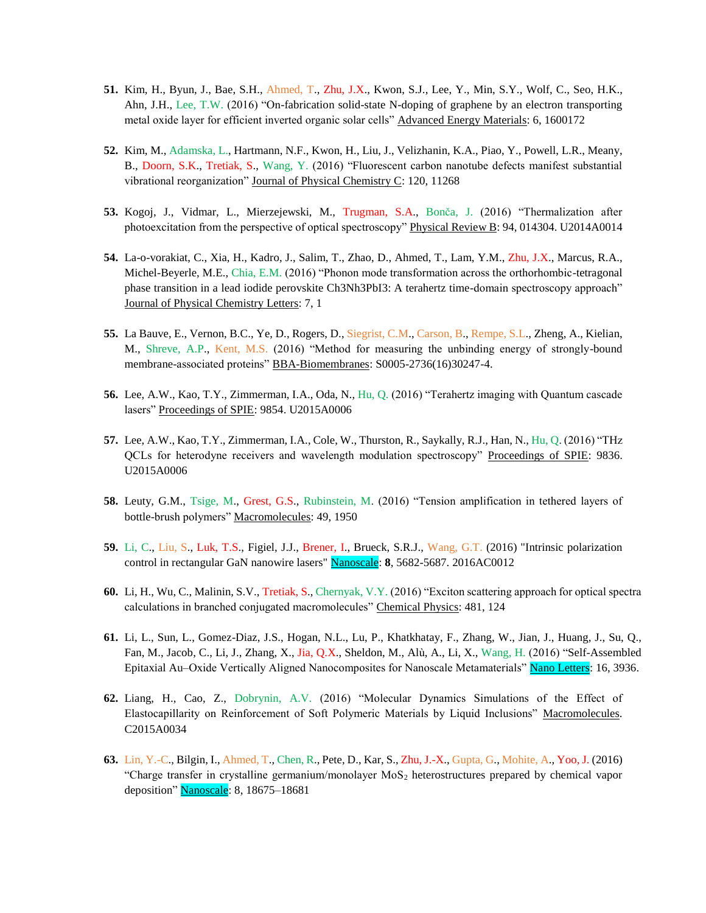- **51.** Kim, H., Byun, J., Bae, S.H., Ahmed, T., Zhu, J.X., Kwon, S.J., Lee, Y., Min, S.Y., Wolf, C., Seo, H.K., Ahn, J.H., Lee, T.W. (2016) "On-fabrication solid-state N-doping of graphene by an electron transporting metal oxide layer for efficient inverted organic solar cells" Advanced Energy Materials: 6, 1600172
- **52.** Kim, M., Adamska, L., Hartmann, N.F., Kwon, H., Liu, J., Velizhanin, K.A., Piao, Y., Powell, L.R., Meany, B., Doorn, S.K., Tretiak, S., Wang, Y. (2016) "Fluorescent carbon nanotube defects manifest substantial vibrational reorganization" Journal of Physical Chemistry C: 120, 11268
- **53.** Kogoj, J., Vidmar, L., Mierzejewski, M., Trugman, S.A., Bonča, J. (2016) "Thermalization after photoexcitation from the perspective of optical spectroscopy" Physical Review B: 94, 014304. U2014A0014
- **54.** La-o-vorakiat, C., Xia, H., Kadro, J., Salim, T., Zhao, D., Ahmed, T., Lam, Y.M., Zhu, J.X., Marcus, R.A., Michel-Beyerle, M.E., Chia, E.M. (2016) "Phonon mode transformation across the orthorhombic-tetragonal phase transition in a lead iodide perovskite Ch3Nh3PbI3: A terahertz time-domain spectroscopy approach" Journal of Physical Chemistry Letters: 7, 1
- **55.** La Bauve, E., Vernon, B.C., Ye, D., Rogers, D., Siegrist, C.M., Carson, B., Rempe, S.L., Zheng, A., Kielian, M., Shreve, A.P., Kent, M.S. (2016) "Method for measuring the unbinding energy of strongly-bound membrane-associated proteins" BBA-Biomembranes: S0005-2736(16)30247-4.
- **56.** Lee, A.W., Kao, T.Y., Zimmerman, I.A., Oda, N., Hu, Q. (2016) "Terahertz imaging with Quantum cascade lasers" Proceedings of SPIE: 9854. U2015A0006
- **57.** Lee, A.W., Kao, T.Y., Zimmerman, I.A., Cole, W., Thurston, R., Saykally, R.J., Han, N., Hu, Q. (2016) "THz QCLs for heterodyne receivers and wavelength modulation spectroscopy" Proceedings of SPIE: 9836. U2015A0006
- **58.** Leuty, G.M., Tsige, M., Grest, G.S., Rubinstein, M. (2016) "Tension amplification in tethered layers of bottle-brush polymers" Macromolecules: 49, 1950
- **59.** Li, C., Liu, S., Luk, T.S., Figiel, J.J., Brener, I., Brueck, S.R.J., Wang, G.T. (2016) "Intrinsic polarization control in rectangular GaN nanowire lasers" Nanoscale: **8**, 5682-5687. 2016AC0012
- **60.** Li, H., Wu, C., Malinin, S.V., Tretiak, S., Chernyak, V.Y. (2016) "Exciton scattering approach for optical spectra calculations in branched conjugated macromolecules" Chemical Physics: 481, 124
- **61.** Li, L., Sun, L., Gomez-Diaz, J.S., Hogan, N.L., Lu, P., Khatkhatay, F., Zhang, W., Jian, J., Huang, J., Su, Q., Fan, M., Jacob, C., Li, J., Zhang, X., Jia, Q.X., Sheldon, M., Alù, A., Li, X., Wang, H. (2016) "Self-Assembled Epitaxial Au–Oxide Vertically Aligned Nanocomposites for Nanoscale Metamaterials" Nano Letters: 16, 3936.
- **62.** Liang, H., Cao, Z., Dobrynin, A.V. (2016) "Molecular Dynamics Simulations of the Effect of Elastocapillarity on Reinforcement of Soft Polymeric Materials by Liquid Inclusions" Macromolecules. C2015A0034
- **63.** Lin, Y.-C., Bilgin, I., Ahmed, T., Chen, R., Pete, D., Kar, S., Zhu, J.-X., Gupta, G., Mohite, A., Yoo, J. (2016) "Charge transfer in crystalline germanium/monolayer  $M_0S_2$  heterostructures prepared by chemical vapor deposition" Nanoscale: 8, 18675–18681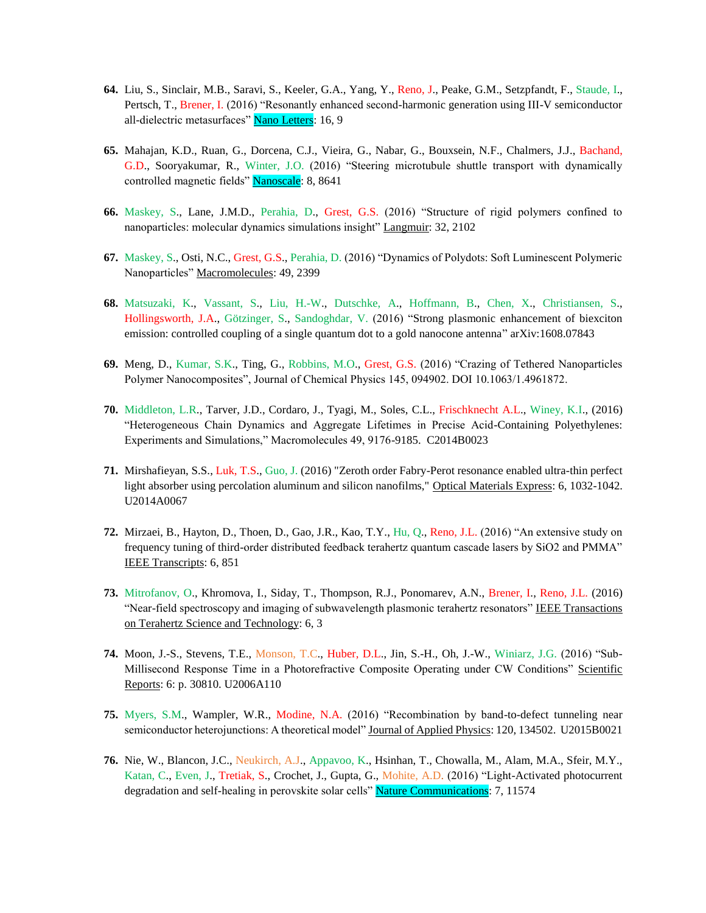- **64.** Liu, S., Sinclair, M.B., Saravi, S., Keeler, G.A., Yang, Y., Reno, J., Peake, G.M., Setzpfandt, F., Staude, I., Pertsch, T., Brener, I. (2016) "Resonantly enhanced second-harmonic generation using III-V semiconductor all-dielectric metasurfaces" Nano Letters: 16, 9
- **65.** Mahajan, K.D., Ruan, G., Dorcena, C.J., Vieira, G., Nabar, G., Bouxsein, N.F., Chalmers, J.J., Bachand, G.D., Sooryakumar, R., Winter, J.O. (2016) "Steering microtubule shuttle transport with dynamically controlled magnetic fields" Nanoscale: 8, 8641
- **66.** Maskey, S., Lane, J.M.D., Perahia, D., Grest, G.S. (2016) "Structure of rigid polymers confined to nanoparticles: molecular dynamics simulations insight" Langmuir: 32, 2102
- **67.** Maskey, S., Osti, N.C., Grest, G.S., Perahia, D. (2016) "Dynamics of Polydots: Soft Luminescent Polymeric Nanoparticles" Macromolecules: 49, 2399
- **68.** Matsuzaki, K., Vassant, S., Liu, H.-W., Dutschke, A., Hoffmann, B., Chen, X., Christiansen, S., Hollingsworth, J.A., Götzinger, S., Sandoghdar, V. (2016) "Strong plasmonic enhancement of biexciton emission: controlled coupling of a single quantum dot to a gold nanocone antenna" arXiv:1608.07843
- **69.** Meng, D., Kumar, S.K., Ting, G., Robbins, M.O., Grest, G.S. (2016) "Crazing of Tethered Nanoparticles Polymer Nanocomposites", Journal of Chemical Physics 145, 094902. DOI 10.1063/1.4961872.
- **70.** Middleton, L.R., Tarver, J.D., Cordaro, J., Tyagi, M., Soles, C.L., Frischknecht A.L., Winey, K.I., (2016) "Heterogeneous Chain Dynamics and Aggregate Lifetimes in Precise Acid-Containing Polyethylenes: Experiments and Simulations," Macromolecules 49, 9176-9185. C2014B0023
- **71.** Mirshafieyan, S.S., Luk, T.S., Guo, J. (2016) "Zeroth order Fabry-Perot resonance enabled ultra-thin perfect light absorber using percolation aluminum and silicon nanofilms," Optical Materials Express: 6, 1032-1042. U2014A0067
- **72.** Mirzaei, B., Hayton, D., Thoen, D., Gao, J.R., Kao, T.Y., Hu, Q., Reno, J.L. (2016) "An extensive study on frequency tuning of third-order distributed feedback terahertz quantum cascade lasers by SiO2 and PMMA" IEEE Transcripts: 6, 851
- **73.** Mitrofanov, O., Khromova, I., Siday, T., Thompson, R.J., Ponomarev, A.N., Brener, I., Reno, J.L. (2016) "Near-field spectroscopy and imaging of subwavelength plasmonic terahertz resonators" IEEE Transactions on Terahertz Science and Technology: 6, 3
- **74.** Moon, J.-S., Stevens, T.E., Monson, T.C., Huber, D.L., Jin, S.-H., Oh, J.-W., Winiarz, J.G. (2016) "Sub-Millisecond Response Time in a Photorefractive Composite Operating under CW Conditions" Scientific Reports: 6: p. 30810. U2006A110
- **75.** Myers, S.M., Wampler, W.R., Modine, N.A. (2016) "Recombination by band-to-defect tunneling near semiconductor heterojunctions: A theoretical model" Journal of Applied Physics: 120, 134502. U2015B0021
- **76.** Nie, W., Blancon, J.C., Neukirch, A.J., Appavoo, K., Hsinhan, T., Chowalla, M., Alam, M.A., Sfeir, M.Y., Katan, C., Even, J., Tretiak, S., Crochet, J., Gupta, G., Mohite, A.D. (2016) "Light-Activated photocurrent degradation and self-healing in perovskite solar cells" Nature Communications: 7, 11574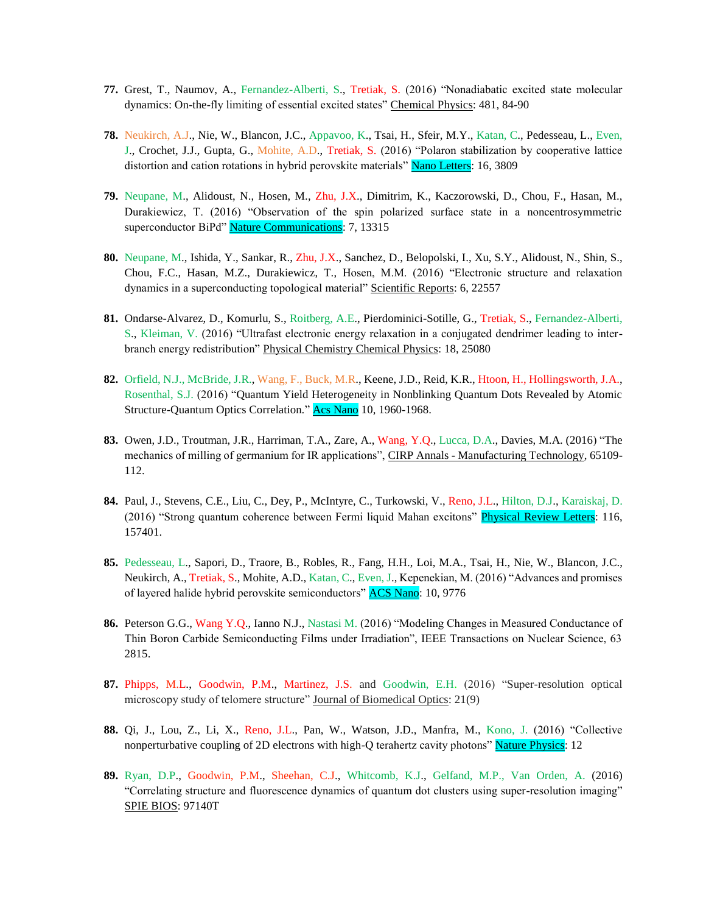- **77.** Grest, T., Naumov, A., Fernandez-Alberti, S., Tretiak, S. (2016) "Nonadiabatic excited state molecular dynamics: On-the-fly limiting of essential excited states" Chemical Physics: 481, 84-90
- **78.** Neukirch, A.J., Nie, W., Blancon, J.C., Appavoo, K., Tsai, H., Sfeir, M.Y., Katan, C., Pedesseau, L., Even, J., Crochet, J.J., Gupta, G., Mohite, A.D., Tretiak, S. (2016) "Polaron stabilization by cooperative lattice distortion and cation rotations in hybrid perovskite materials" Nano Letters: 16, 3809
- **79.** Neupane, M., Alidoust, N., Hosen, M., Zhu, J.X., Dimitrim, K., Kaczorowski, D., Chou, F., Hasan, M., Durakiewicz, T. (2016) "Observation of the spin polarized surface state in a noncentrosymmetric superconductor BiPd" Nature Communications: 7, 13315
- **80.** Neupane, M., Ishida, Y., Sankar, R., Zhu, J.X., Sanchez, D., Belopolski, I., Xu, S.Y., Alidoust, N., Shin, S., Chou, F.C., Hasan, M.Z., Durakiewicz, T., Hosen, M.M. (2016) "Electronic structure and relaxation dynamics in a superconducting topological material" Scientific Reports: 6, 22557
- **81.** Ondarse-Alvarez, D., Komurlu, S., Roitberg, A.E., Pierdominici-Sotille, G., Tretiak, S., Fernandez-Alberti, S., Kleiman, V. (2016) "Ultrafast electronic energy relaxation in a conjugated dendrimer leading to interbranch energy redistribution" Physical Chemistry Chemical Physics: 18, 25080
- **82.** Orfield, N.J., McBride, J.R., Wang, F., Buck, M.R., Keene, J.D., Reid, K.R., Htoon, H., Hollingsworth, J.A., Rosenthal, S.J. (2016) "Quantum Yield Heterogeneity in Nonblinking Quantum Dots Revealed by Atomic Structure-Quantum Optics Correlation." Acs Nano 10, 1960-1968.
- **83.** Owen, J.D., Troutman, J.R., Harriman, T.A., Zare, A., Wang, Y.Q., Lucca, D.A., Davies, M.A. (2016) "The mechanics of milling of germanium for IR applications", CIRP Annals - Manufacturing Technology, 65109-112.
- **84.** Paul, J., Stevens, C.E., Liu, C., Dey, P., McIntyre, C., Turkowski, V., Reno, J.L., Hilton, D.J., Karaiskaj, D. (2016) "Strong quantum coherence between Fermi liquid Mahan excitons" Physical Review Letters: 116, 157401.
- **85.** Pedesseau, L., Sapori, D., Traore, B., Robles, R., Fang, H.H., Loi, M.A., Tsai, H., Nie, W., Blancon, J.C., Neukirch, A., Tretiak, S., Mohite, A.D., Katan, C., Even, J., Kepenekian, M. (2016) "Advances and promises of layered halide hybrid perovskite semiconductors" ACS Nano: 10, 9776
- **86.** Peterson G.G., Wang Y.Q., Ianno N.J., Nastasi M. (2016) "Modeling Changes in Measured Conductance of Thin Boron Carbide Semiconducting Films under Irradiation", IEEE Transactions on Nuclear Science, 63 2815.
- **87.** Phipps, M.L., Goodwin, P.M., Martinez, J.S. and Goodwin, E.H. (2016) "Super-resolution optical microscopy study of telomere structure" Journal of Biomedical Optics: 21(9)
- **88.** Qi, J., Lou, Z., Li, X., Reno, J.L., Pan, W., Watson, J.D., Manfra, M., Kono, J. (2016) "Collective nonperturbative coupling of 2D electrons with high-Q terahertz cavity photons" Nature Physics: 12
- **89.** Ryan, D.P., Goodwin, P.M., Sheehan, C.J., Whitcomb, K.J., Gelfand, M.P., Van Orden, A. (2016) "Correlating structure and fluorescence dynamics of quantum dot clusters using super-resolution imaging" SPIE BIOS: 97140T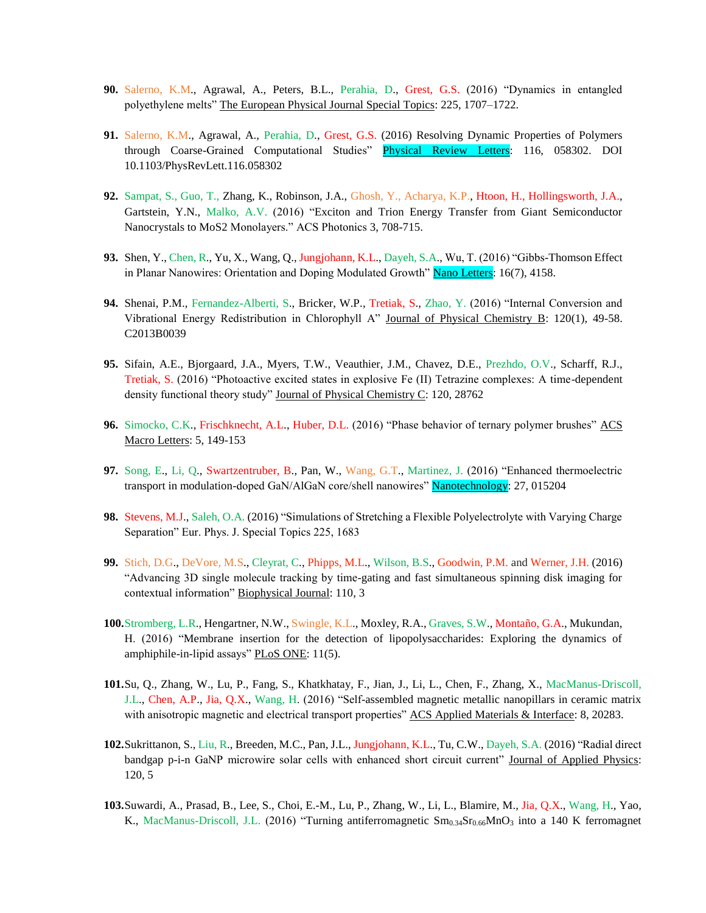- **90.** Salerno, K.M., Agrawal, A., Peters, B.L., Perahia, D., Grest, G.S. (2016) "Dynamics in entangled polyethylene melts" The European Physical Journal Special Topics: 225, 1707–1722.
- **91.** Salerno, K.M., Agrawal, A., Perahia, D., Grest, G.S. (2016) Resolving Dynamic Properties of Polymers through Coarse-Grained Computational Studies" Physical Review Letters: 116, 058302. DOI 10.1103/PhysRevLett.116.058302
- **92.** Sampat, S., Guo, T., Zhang, K., Robinson, J.A., Ghosh, Y., Acharya, K.P., Htoon, H., Hollingsworth, J.A., Gartstein, Y.N., Malko, A.V. (2016) "Exciton and Trion Energy Transfer from Giant Semiconductor Nanocrystals to MoS2 Monolayers." ACS Photonics 3, 708-715.
- **93.** Shen, Y., Chen, R., Yu, X., Wang, Q., Jungjohann, K.L., Dayeh, S.A., Wu, T. (2016) "Gibbs-Thomson Effect in Planar Nanowires: Orientation and Doping Modulated Growth" Nano Letters: 16(7), 4158.
- **94.** Shenai, P.M., Fernandez-Alberti, S., Bricker, W.P., Tretiak, S., Zhao, Y. (2016) "Internal Conversion and Vibrational Energy Redistribution in Chlorophyll A" Journal of Physical Chemistry B: 120(1), 49-58. C2013B0039
- **95.** Sifain, A.E., Bjorgaard, J.A., Myers, T.W., Veauthier, J.M., Chavez, D.E., Prezhdo, O.V., Scharff, R.J., Tretiak, S. (2016) "Photoactive excited states in explosive Fe (II) Tetrazine complexes: A time-dependent density functional theory study" Journal of Physical Chemistry C: 120, 28762
- 96. Simocko, C.K., Frischknecht, A.L., Huber, D.L. (2016) "Phase behavior of ternary polymer brushes" ACS Macro Letters: 5, 149-153
- **97.** Song, E., Li, Q., Swartzentruber, B., Pan, W., Wang, G.T., Martinez, J. (2016) "Enhanced thermoelectric transport in modulation-doped GaN/AlGaN core/shell nanowires" Nanotechnology: 27, 015204
- **98.** Stevens, M.J., Saleh, O.A. (2016) "Simulations of Stretching a Flexible Polyelectrolyte with Varying Charge Separation" Eur. Phys. J. Special Topics 225, 1683
- **99.** Stich, D.G., DeVore, M.S., Cleyrat, C., Phipps, M.L., Wilson, B.S., Goodwin, P.M. and Werner, J.H. (2016) "Advancing 3D single molecule tracking by time-gating and fast simultaneous spinning disk imaging for contextual information" Biophysical Journal: 110, 3
- **100.**Stromberg, L.R., Hengartner, N.W., Swingle, K.L., Moxley, R.A., Graves, S.W., Montaño, G.A., Mukundan, H. (2016) "Membrane insertion for the detection of lipopolysaccharides: Exploring the dynamics of amphiphile-in-lipid assays" PLoS ONE: 11(5).
- **101.**Su, Q., Zhang, W., Lu, P., Fang, S., Khatkhatay, F., Jian, J., Li, L., Chen, F., Zhang, X., MacManus-Driscoll, J.L., Chen, A.P., Jia, Q.X., Wang, H. (2016) "Self-assembled magnetic metallic nanopillars in ceramic matrix with anisotropic magnetic and electrical transport properties" ACS Applied Materials & Interface: 8, 20283.
- **102.**Sukrittanon, S., Liu, R., Breeden, M.C., Pan, J.L., Jungjohann, K.L., Tu, C.W., Dayeh, S.A. (2016) "Radial direct bandgap p-i-n GaNP microwire solar cells with enhanced short circuit current" Journal of Applied Physics: 120, 5
- **103.**Suwardi, A., Prasad, B., Lee, S., Choi, E.-M., Lu, P., Zhang, W., Li, L., Blamire, M., Jia, Q.X., Wang, H., Yao, K., MacManus-Driscoll, J.L. (2016) "Turning antiferromagnetic  $\text{Sm}_{0.34}\text{Sr}_{0.66}\text{MnO}_3$  into a 140 K ferromagnet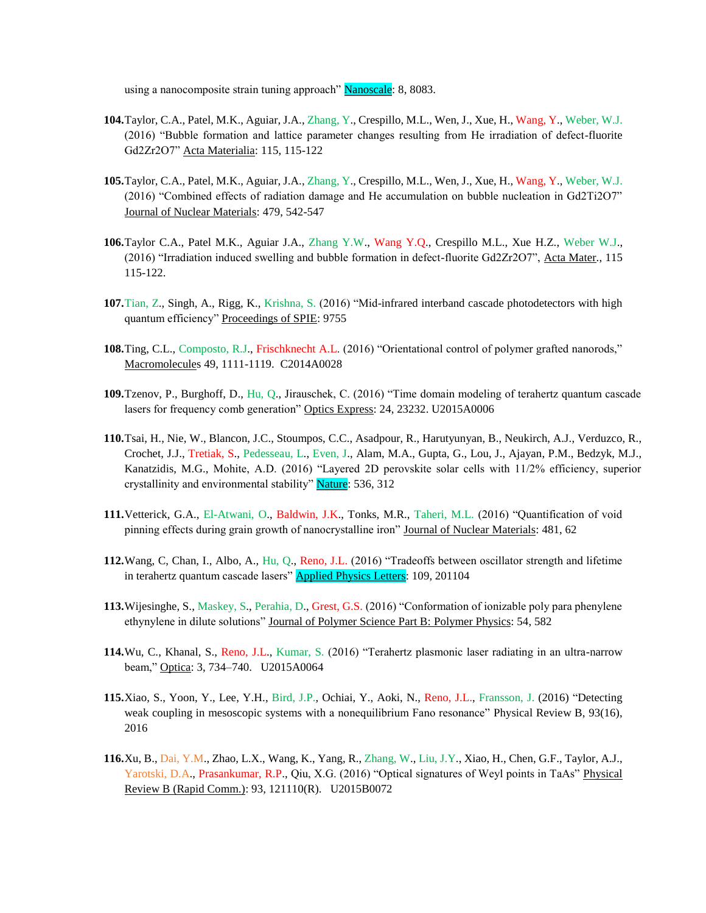using a nanocomposite strain tuning approach" Nanoscale: 8, 8083.

- **104.**Taylor, C.A., Patel, M.K., Aguiar, J.A., Zhang, Y., Crespillo, M.L., Wen, J., Xue, H., Wang, Y., Weber, W.J. (2016) "Bubble formation and lattice parameter changes resulting from He irradiation of defect-fluorite Gd2Zr2O7" Acta Materialia: 115, 115-122
- **105.**Taylor, C.A., Patel, M.K., Aguiar, J.A., Zhang, Y., Crespillo, M.L., Wen, J., Xue, H., Wang, Y., Weber, W.J. (2016) "Combined effects of radiation damage and He accumulation on bubble nucleation in Gd2Ti2O7" Journal of Nuclear Materials: 479, 542-547
- **106.**Taylor C.A., Patel M.K., Aguiar J.A., Zhang Y.W., Wang Y.Q., Crespillo M.L., Xue H.Z., Weber W.J., (2016) "Irradiation induced swelling and bubble formation in defect-fluorite Gd2Zr2O7", Acta Mater., 115 115-122.
- **107.**Tian, Z., Singh, A., Rigg, K., Krishna, S. (2016) "Mid-infrared interband cascade photodetectors with high quantum efficiency" Proceedings of SPIE: 9755
- **108.**Ting, C.L., Composto, R.J., Frischknecht A.L. (2016) "Orientational control of polymer grafted nanorods," Macromolecules 49, 1111-1119. C2014A0028
- **109.**Tzenov, P., Burghoff, D., Hu, Q., Jirauschek, C. (2016) "Time domain modeling of terahertz quantum cascade lasers for frequency comb generation" Optics Express: 24, 23232. U2015A0006
- **110.**Tsai, H., Nie, W., Blancon, J.C., Stoumpos, C.C., Asadpour, R., Harutyunyan, B., Neukirch, A.J., Verduzco, R., Crochet, J.J., Tretiak, S., Pedesseau, L., Even, J., Alam, M.A., Gupta, G., Lou, J., Ajayan, P.M., Bedzyk, M.J., Kanatzidis, M.G., Mohite, A.D. (2016) "Layered 2D perovskite solar cells with 11/2% efficiency, superior crystallinity and environmental stability" Nature: 536, 312
- **111.**Vetterick, G.A., El-Atwani, O., Baldwin, J.K., Tonks, M.R., Taheri, M.L. (2016) "Quantification of void pinning effects during grain growth of nanocrystalline iron" Journal of Nuclear Materials: 481, 62
- **112.**Wang, C, Chan, I., Albo, A., Hu, Q., Reno, J.L. (2016) "Tradeoffs between oscillator strength and lifetime in terahertz quantum cascade lasers" **Applied Physics Letters**: 109, 201104
- **113.**Wijesinghe, S., Maskey, S., Perahia, D., Grest, G.S. (2016) "Conformation of ionizable poly para phenylene ethynylene in dilute solutions" Journal of Polymer Science Part B: Polymer Physics: 54, 582
- **114.**Wu, C., Khanal, S., Reno, J.L., Kumar, S. (2016) "Terahertz plasmonic laser radiating in an ultra-narrow beam," Optica: 3, 734–740. U2015A0064
- **115.**Xiao, S., Yoon, Y., Lee, Y.H., Bird, J.P., Ochiai, Y., Aoki, N., Reno, J.L., Fransson, J. (2016) "Detecting weak coupling in mesoscopic systems with a nonequilibrium Fano resonance" Physical Review B, 93(16), 2016
- **116.**Xu, B., Dai, Y.M., Zhao, L.X., Wang, K., Yang, R., Zhang, W., Liu, J.Y., Xiao, H., Chen, G.F., Taylor, A.J., Yarotski, D.A., Prasankumar, R.P., Qiu, X.G. (2016) "Optical signatures of Weyl points in TaAs" Physical Review B (Rapid Comm.): 93, 121110(R). U2015B0072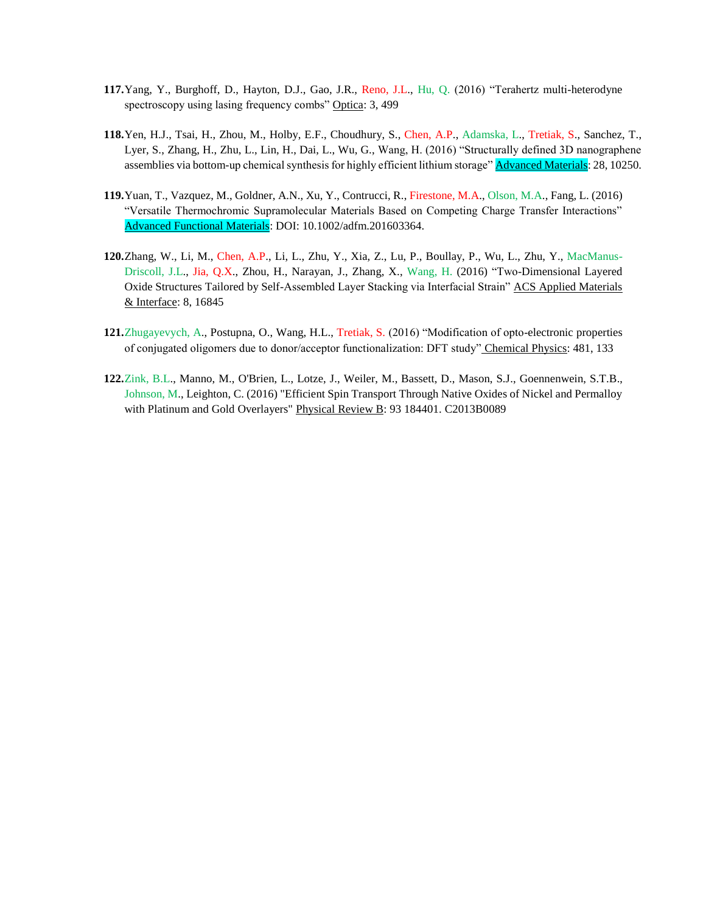- **117.**Yang, Y., Burghoff, D., Hayton, D.J., Gao, J.R., Reno, J.L., Hu, Q. (2016) "Terahertz multi-heterodyne spectroscopy using lasing frequency combs" Optica: 3, 499
- **118.**Yen, H.J., Tsai, H., Zhou, M., Holby, E.F., Choudhury, S., Chen, A.P., Adamska, L., Tretiak, S., Sanchez, T., Lyer, S., Zhang, H., Zhu, L., Lin, H., Dai, L., Wu, G., Wang, H. (2016) "Structurally defined 3D nanographene assemblies via bottom-up chemical synthesis for highly efficient lithium storage" **Advanced Materials**: 28, 10250.
- **119.**Yuan, T., Vazquez, M., Goldner, A.N., Xu, Y., Contrucci, R., Firestone, M.A., Olson, M.A., Fang, L. (2016) "Versatile Thermochromic Supramolecular Materials Based on Competing Charge Transfer Interactions" Advanced Functional Materials: DOI: 10.1002/adfm.201603364.
- **120.**Zhang, W., Li, M., Chen, A.P., Li, L., Zhu, Y., Xia, Z., Lu, P., Boullay, P., Wu, L., Zhu, Y., MacManus-Driscoll, J.L., Jia, Q.X., Zhou, H., Narayan, J., Zhang, X., Wang, H. (2016) "Two-Dimensional Layered Oxide Structures Tailored by Self-Assembled Layer Stacking via Interfacial Strain" ACS Applied Materials & Interface: 8, 16845
- **121.**Zhugayevych, A., Postupna, O., Wang, H.L., Tretiak, S. (2016) "Modification of opto-electronic properties of conjugated oligomers due to donor/acceptor functionalization: DFT study" Chemical Physics: 481, 133
- **122.**Zink, B.L., Manno, M., O'Brien, L., Lotze, J., Weiler, M., Bassett, D., Mason, S.J., Goennenwein, S.T.B., Johnson, M., Leighton, C. (2016) "Efficient Spin Transport Through Native Oxides of Nickel and Permalloy with Platinum and Gold Overlayers" Physical Review B: 93 184401. C2013B0089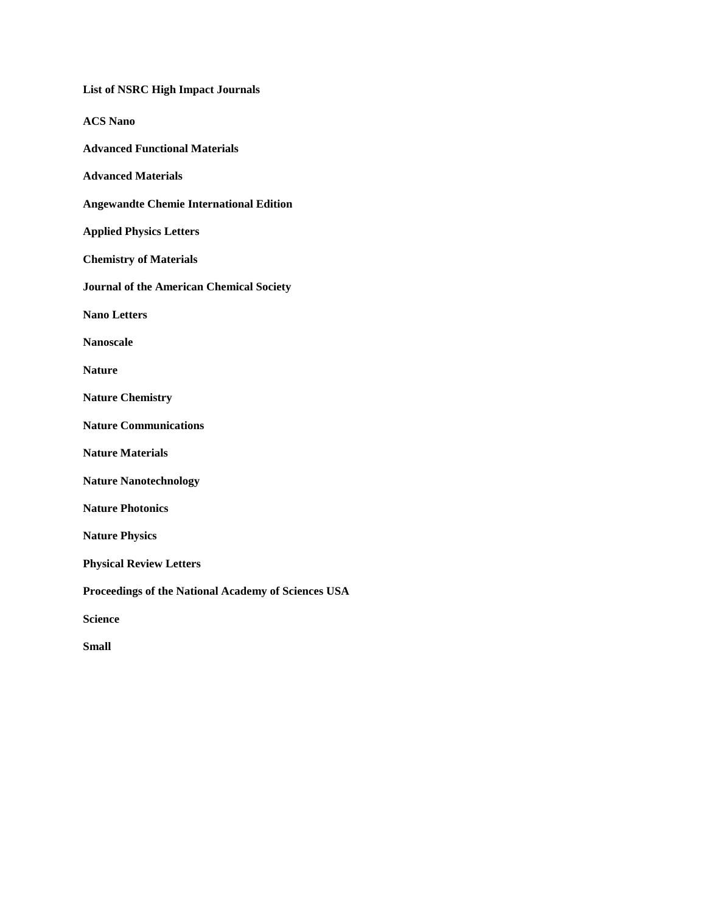| <b>List of NSRC High Impact Journals</b>            |
|-----------------------------------------------------|
| <b>ACS Nano</b>                                     |
| <b>Advanced Functional Materials</b>                |
| <b>Advanced Materials</b>                           |
| <b>Angewandte Chemie International Edition</b>      |
| <b>Applied Physics Letters</b>                      |
| <b>Chemistry of Materials</b>                       |
| <b>Journal of the American Chemical Society</b>     |
| <b>Nano Letters</b>                                 |
| <b>Nanoscale</b>                                    |
| <b>Nature</b>                                       |
| <b>Nature Chemistry</b>                             |
| <b>Nature Communications</b>                        |
| <b>Nature Materials</b>                             |
| <b>Nature Nanotechnology</b>                        |
| <b>Nature Photonics</b>                             |
| <b>Nature Physics</b>                               |
| <b>Physical Review Letters</b>                      |
| Proceedings of the National Academy of Sciences USA |
| <b>Science</b>                                      |
| <b>Small</b>                                        |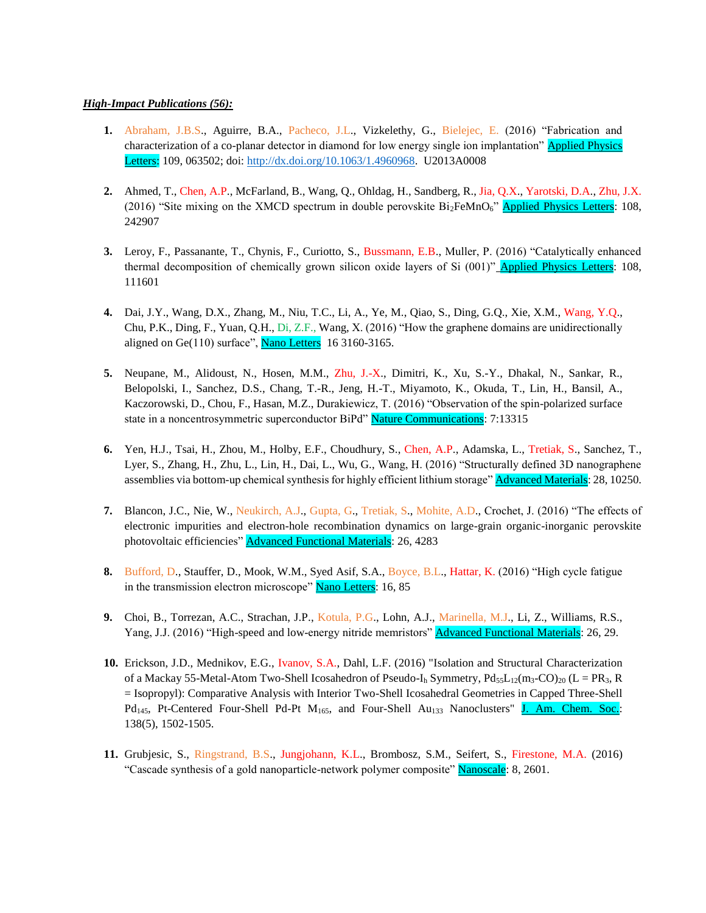## *High-Impact Publications (56):*

- **1.** Abraham, J.B.S., Aguirre, B.A., Pacheco, J.L., Vizkelethy, G., Bielejec, E. (2016) "Fabrication and characterization of a co-planar detector in diamond for low energy single ion implantation" Applied Physics Letters: 109, 063502; doi: [http://dx.doi.org/10.1063/1.4960968.](http://dx.doi.org/10.1063/1.4960968) U2013A0008
- **2.** Ahmed, T., Chen, A.P., McFarland, B., Wang, Q., Ohldag, H., Sandberg, R., Jia, Q.X., Yarotski, D.A., Zhu, J.X. (2016) "Site mixing on the XMCD spectrum in double perovskite  $Bi_2FeMnO<sub>6</sub>$ " Applied Physics Letters: 108, 242907
- **3.** Leroy, F., Passanante, T., Chynis, F., Curiotto, S., Bussmann, E.B., Muller, P. (2016) "Catalytically enhanced thermal decomposition of chemically grown silicon oxide layers of Si (001)" Applied Physics Letters: 108, 111601
- **4.** Dai, J.Y., Wang, D.X., Zhang, M., Niu, T.C., Li, A., Ye, M., Qiao, S., Ding, G.Q., Xie, X.M., Wang, Y.Q., Chu, P.K., Ding, F., Yuan, Q.H., Di, Z.F., Wang, X. (2016) "How the graphene domains are unidirectionally aligned on Ge $(110)$  surface", **Nano Letters** 16 3160-3165.
- **5.** Neupane, M., Alidoust, N., Hosen, M.M., Zhu, J.-X., Dimitri, K., Xu, S.-Y., Dhakal, N., Sankar, R., Belopolski, I., Sanchez, D.S., Chang, T.-R., Jeng, H.-T., Miyamoto, K., Okuda, T., Lin, H., Bansil, A., Kaczorowski, D., Chou, F., Hasan, M.Z., Durakiewicz, T. (2016) "Observation of the spin-polarized surface state in a noncentrosymmetric superconductor BiPd" Nature Communications: 7:13315
- **6.** Yen, H.J., Tsai, H., Zhou, M., Holby, E.F., Choudhury, S., Chen, A.P., Adamska, L., Tretiak, S., Sanchez, T., Lyer, S., Zhang, H., Zhu, L., Lin, H., Dai, L., Wu, G., Wang, H. (2016) "Structurally defined 3D nanographene assemblies via bottom-up chemical synthesis for highly efficient lithium storage" **Advanced Materials**: 28, 10250.
- **7.** Blancon, J.C., Nie, W., Neukirch, A.J., Gupta, G., Tretiak, S., Mohite, A.D., Crochet, J. (2016) "The effects of electronic impurities and electron-hole recombination dynamics on large-grain organic-inorganic perovskite photovoltaic efficiencies" Advanced Functional Materials: 26, 4283
- **8.** Bufford, D., Stauffer, D., Mook, W.M., Syed Asif, S.A., Boyce, B.L., Hattar, K. (2016) "High cycle fatigue in the transmission electron microscope" Nano Letters: 16, 85
- **9.** Choi, B., Torrezan, A.C., Strachan, J.P., Kotula, P.G., Lohn, A.J., Marinella, M.J., Li, Z., Williams, R.S., Yang, J.J. (2016) "High-speed and low-energy nitride memristors" Advanced Functional Materials: 26, 29.
- **10.** Erickson, J.D., Mednikov, E.G., Ivanov, S.A., Dahl, L.F. (2016) "Isolation and Structural Characterization of a Mackay 55-Metal-Atom Two-Shell Icosahedron of Pseudo-I<sub>h</sub> Symmetry,  $Pd_{55}L_{12}(m_3-CO)_{20}$  (L = PR<sub>3</sub>, R = Isopropyl): Comparative Analysis with Interior Two-Shell Icosahedral Geometries in Capped Three-Shell  $Pd_{145}$ , Pt-Centered Four-Shell Pd-Pt  $M_{165}$ , and Four-Shell Au<sub>133</sub> Nanoclusters" J. Am. Chem. Soc.: 138(5), 1502-1505.
- **11.** Grubjesic, S., Ringstrand, B.S., Jungjohann, K.L., Brombosz, S.M., Seifert, S., Firestone, M.A. (2016) "Cascade synthesis of a gold nanoparticle-network polymer composite" Nanoscale: 8, 2601.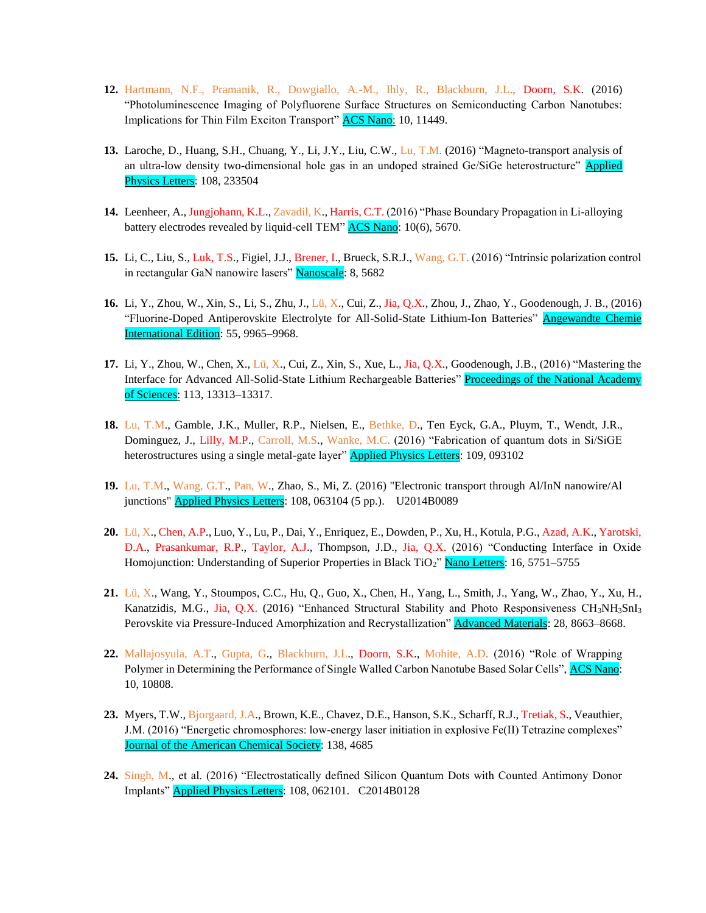- **12.** Hartmann, N.F., Pramanik, R., Dowgiallo, A.-M., Ihly, R., Blackburn, J.L., Doorn, S.K. (2016) "Photoluminescence Imaging of Polyfluorene Surface Structures on Semiconducting Carbon Nanotubes: Implications for Thin Film Exciton Transport" **ACS Nano:** 10, 11449.
- **13.** Laroche, D., Huang, S.H., Chuang, Y., Li, J.Y., Liu, C.W., Lu, T.M. (2016) "Magneto-transport analysis of an ultra-low density two-dimensional hole gas in an undoped strained Ge/SiGe heterostructure" **Applied** Physics Letters: 108, 233504
- **14.** Leenheer, A., Jungjohann, K.L., Zavadil, K., Harris, C.T. (2016) "Phase Boundary Propagation in Li-alloying battery electrodes revealed by liquid-cell TEM" ACS Nano: 10(6), 5670.
- **15.** Li, C., Liu, S., Luk, T.S., Figiel, J.J., Brener, I., Brueck, S.R.J., Wang, G.T. (2016) "Intrinsic polarization control in rectangular GaN nanowire lasers" Nanoscale: 8, 5682
- **16.** Li, Y., Zhou, W., Xin, S., Li, S., Zhu, J., Lü, X., Cui, Z., Jia, Q.X., Zhou, J., Zhao, Y., Goodenough, J. B., (2016) "Fluorine-Doped Antiperovskite Electrolyte for All-Solid-State Lithium-Ion Batteries" Angewandte Chemie International Edition: 55, 9965–9968.
- **17.** Li, Y., Zhou, W., Chen, X., Lü, X., Cui, Z., Xin, S., Xue, L., Jia, Q.X., Goodenough, J.B., (2016) "Mastering the Interface for Advanced All-Solid-State Lithium Rechargeable Batteries" Proceedings of the National Academy of Sciences: 113, 13313–13317.
- **18.** Lu, T.M., Gamble, J.K., Muller, R.P., Nielsen, E., Bethke, D., Ten Eyck, G.A., Pluym, T., Wendt, J.R., Dominguez, J., Lilly, M.P., Carroll, M.S., Wanke, M.C. (2016) "Fabrication of quantum dots in Si/SiGE heterostructures using a single metal-gate layer" **Applied Physics Letters**: 109, 093102
- **19.** Lu, T.M., Wang, G.T., Pan, W., Zhao, S., Mi, Z. (2016) "Electronic transport through Al/InN nanowire/Al junctions" **Applied Physics Letters**: 108, 063104 (5 pp.). U2014B0089
- **20.** Lü, X., Chen, A.P., Luo, Y., Lu, P., Dai, Y., Enriquez, E., Dowden, P., Xu, H., Kotula, P.G., Azad, A.K., Yarotski, D.A., Prasankumar, R.P., Taylor, A.J., Thompson, J.D., Jia, Q.X. (2016) "Conducting Interface in Oxide Homojunction: Understanding of Superior Properties in Black TiO<sub>2</sub>" Nano Letters: 16, 5751–5755
- **21.** Lü, X., Wang, Y., Stoumpos, C.C., Hu, Q., Guo, X., Chen, H., Yang, L., Smith, J., Yang, W., Zhao, Y., Xu, H., Kanatzidis, M.G., Jia, Q.X. (2016) "Enhanced Structural Stability and Photo Responsiveness CH<sub>3</sub>NH<sub>3</sub>SnI<sub>3</sub> Perovskite via Pressure-Induced Amorphization and Recrystallization" **Advanced Materials**: 28, 8663–8668.
- **22.** Mallajosyula, A.T., Gupta, G., Blackburn, J.L., Doorn, S.K., Mohite, A.D. (2016) "Role of Wrapping Polymer in Determining the Performance of Single Walled Carbon Nanotube Based Solar Cells", ACS Nano: 10, 10808.
- **23.** Myers, T.W., Bjorgaard, J.A., Brown, K.E., Chavez, D.E., Hanson, S.K., Scharff, R.J., Tretiak, S., Veauthier, J.M. (2016) "Energetic chromosphores: low-energy laser initiation in explosive Fe(II) Tetrazine complexes" Journal of the American Chemical Society: 138, 4685
- **24.** Singh, M., et al. (2016) "Electrostatically defined Silicon Quantum Dots with Counted Antimony Donor Implants" Applied Physics Letters: 108, 062101. C2014B0128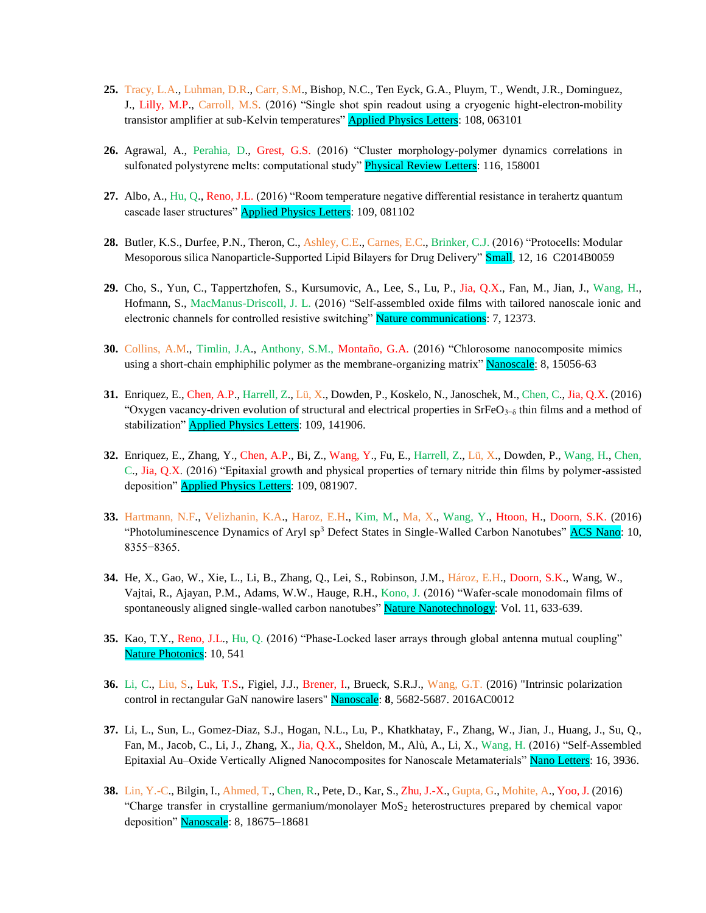- **25.** Tracy, L.A., Luhman, D.R., Carr, S.M., Bishop, N.C., Ten Eyck, G.A., Pluym, T., Wendt, J.R., Dominguez, J., Lilly, M.P., Carroll, M.S. (2016) "Single shot spin readout using a cryogenic hight-electron-mobility transistor amplifier at sub-Kelvin temperatures" **Applied Physics Letters**: 108, 063101
- **26.** Agrawal, A., Perahia, D., Grest, G.S. (2016) "Cluster morphology-polymer dynamics correlations in sulfonated polystyrene melts: computational study" **Physical Review Letters**: 116, 158001
- **27.** Albo, A., Hu, Q., Reno, J.L. (2016) "Room temperature negative differential resistance in terahertz quantum cascade laser structures" **Applied Physics Letters**: 109, 081102
- **28.** Butler, K.S., Durfee, P.N., Theron, C., Ashley, C.E., Carnes, E.C., Brinker, C.J. (2016) "Protocells: Modular Mesoporous silica Nanoparticle-Supported Lipid Bilayers for Drug Delivery" **Small**, 12, 16 C2014B0059
- **29.** Cho, S., Yun, C., Tappertzhofen, S., Kursumovic, A., Lee, S., Lu, P., Jia, Q.X., Fan, M., Jian, J., Wang, H., Hofmann, S., MacManus-Driscoll, J. L. (2016) "Self-assembled oxide films with tailored nanoscale ionic and electronic channels for controlled resistive switching" Nature communications: 7, 12373.
- **30.** Collins, A.M., Timlin, J.A., Anthony, S.M., Montaño, G.A. (2016) "Chlorosome nanocomposite mimics using a short-chain emphiphilic polymer as the membrane-organizing matrix" Nanoscale: 8, 15056-63
- **31.** Enriquez, E., Chen, A.P., Harrell, Z., Lü, X., Dowden, P., Koskelo, N., Janoschek, M., Chen, C., Jia, Q.X. (2016) "Oxygen vacancy-driven evolution of structural and electrical properties in SrFeO<sub>3</sub><sup>- $\delta$ </sup> thin films and a method of stabilization" **Applied Physics Letters**: 109, 141906.
- **32.** Enriquez, E., Zhang, Y., Chen, A.P., Bi, Z., Wang, Y., Fu, E., Harrell, Z., Lü, X., Dowden, P., Wang, H., Chen, C., Jia, Q.X. (2016) "Epitaxial growth and physical properties of ternary nitride thin films by polymer-assisted deposition" **Applied Physics Letters**: 109, 081907.
- **33.** Hartmann, N.F., Velizhanin, K.A., Haroz, E.H., Kim, M., Ma, X., Wang, Y., Htoon, H., Doorn, S.K. (2016) "Photoluminescence Dynamics of Aryl sp<sup>3</sup> Defect States in Single-Walled Carbon Nanotubes" **ACS Nano:** 10, 8355−8365.
- **34.** He, X., Gao, W., Xie, L., Li, B., Zhang, Q., Lei, S., Robinson, J.M., Hároz, E.H., Doorn, S.K., Wang, W., Vajtai, R., Ajayan, P.M., Adams, W.W., Hauge, R.H., Kono, J. (2016) "Wafer-scale monodomain films of spontaneously aligned single-walled carbon nanotubes" Nature Nanotechnology: Vol. 11, 633-639.
- **35.** Kao, T.Y., Reno, J.L., Hu, Q. (2016) "Phase-Locked laser arrays through global antenna mutual coupling" Nature Photonics: 10, 541
- **36.** Li, C., Liu, S., Luk, T.S., Figiel, J.J., Brener, I., Brueck, S.R.J., Wang, G.T. (2016) "Intrinsic polarization control in rectangular GaN nanowire lasers" Nanoscale: **8**, 5682-5687. 2016AC0012
- **37.** Li, L., Sun, L., Gomez-Diaz, S.J., Hogan, N.L., Lu, P., Khatkhatay, F., Zhang, W., Jian, J., Huang, J., Su, Q., Fan, M., Jacob, C., Li, J., Zhang, X., Jia, Q.X., Sheldon, M., Alù, A., Li, X., Wang, H. (2016) "Self-Assembled Epitaxial Au–Oxide Vertically Aligned Nanocomposites for Nanoscale Metamaterials" Nano Letters: 16, 3936.
- **38.** Lin, Y.-C., Bilgin, I., Ahmed, T., Chen, R., Pete, D., Kar, S., Zhu, J.-X., Gupta, G., Mohite, A., Yoo, J. (2016) "Charge transfer in crystalline germanium/monolayer  $M_0S_2$  heterostructures prepared by chemical vapor deposition" Nanoscale: 8, 18675-18681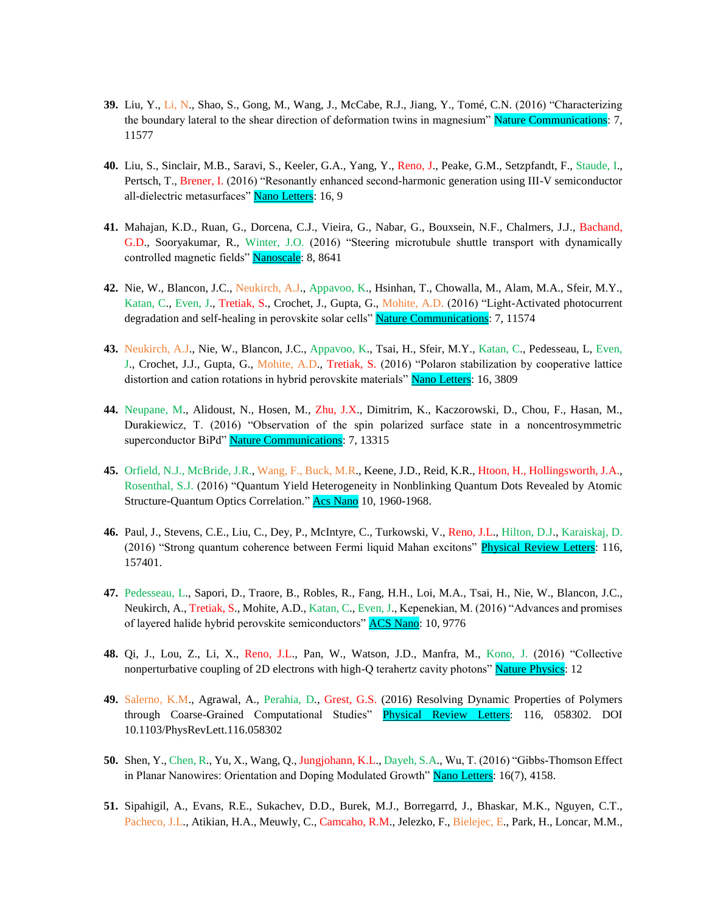- **39.** Liu, Y., Li, N., Shao, S., Gong, M., Wang, J., McCabe, R.J., Jiang, Y., Tomé, C.N. (2016) "Characterizing the boundary lateral to the shear direction of deformation twins in magnesium" Nature Communications: 7, 11577
- **40.** Liu, S., Sinclair, M.B., Saravi, S., Keeler, G.A., Yang, Y., Reno, J., Peake, G.M., Setzpfandt, F., Staude, I., Pertsch, T., Brener, I. (2016) "Resonantly enhanced second-harmonic generation using III-V semiconductor all-dielectric metasurfaces" Nano Letters: 16, 9
- **41.** Mahajan, K.D., Ruan, G., Dorcena, C.J., Vieira, G., Nabar, G., Bouxsein, N.F., Chalmers, J.J., Bachand, G.D., Sooryakumar, R., Winter, J.O. (2016) "Steering microtubule shuttle transport with dynamically controlled magnetic fields" Nanoscale: 8, 8641
- **42.** Nie, W., Blancon, J.C., Neukirch, A.J., Appavoo, K., Hsinhan, T., Chowalla, M., Alam, M.A., Sfeir, M.Y., Katan, C., Even, J., Tretiak, S., Crochet, J., Gupta, G., Mohite, A.D. (2016) "Light-Activated photocurrent degradation and self-healing in perovskite solar cells" Nature Communications: 7, 11574
- **43.** Neukirch, A.J., Nie, W., Blancon, J.C., Appavoo, K., Tsai, H., Sfeir, M.Y., Katan, C., Pedesseau, L, Even, J., Crochet, J.J., Gupta, G., Mohite, A.D., Tretiak, S. (2016) "Polaron stabilization by cooperative lattice distortion and cation rotations in hybrid perovskite materials" Nano Letters: 16, 3809
- **44.** Neupane, M., Alidoust, N., Hosen, M., Zhu, J.X., Dimitrim, K., Kaczorowski, D., Chou, F., Hasan, M., Durakiewicz, T. (2016) "Observation of the spin polarized surface state in a noncentrosymmetric superconductor BiPd" Nature Communications: 7, 13315
- **45.** Orfield, N.J., McBride, J.R., Wang, F., Buck, M.R., Keene, J.D., Reid, K.R., Htoon, H., Hollingsworth, J.A., Rosenthal, S.J. (2016) "Quantum Yield Heterogeneity in Nonblinking Quantum Dots Revealed by Atomic Structure-Quantum Optics Correlation." Acs Nano 10, 1960-1968.
- **46.** Paul, J., Stevens, C.E., Liu, C., Dey, P., McIntyre, C., Turkowski, V., Reno, J.L., Hilton, D.J., Karaiskaj, D. (2016) "Strong quantum coherence between Fermi liquid Mahan excitons" Physical Review Letters: 116, 157401.
- **47.** Pedesseau, L., Sapori, D., Traore, B., Robles, R., Fang, H.H., Loi, M.A., Tsai, H., Nie, W., Blancon, J.C., Neukirch, A., Tretiak, S., Mohite, A.D., Katan, C., Even, J., Kepenekian, M. (2016) "Advances and promises of layered halide hybrid perovskite semiconductors" ACS Nano: 10, 9776
- **48.** Qi, J., Lou, Z., Li, X., Reno, J.L., Pan, W., Watson, J.D., Manfra, M., Kono, J. (2016) "Collective nonperturbative coupling of 2D electrons with high-Q terahertz cavity photons" Nature Physics: 12
- **49.** Salerno, K.M., Agrawal, A., Perahia, D., Grest, G.S. (2016) Resolving Dynamic Properties of Polymers through Coarse-Grained Computational Studies" Physical Review Letters: 116, 058302. DOI 10.1103/PhysRevLett.116.058302
- **50.** Shen, Y., Chen, R., Yu, X., Wang, Q., Jungjohann, K.L., Dayeh, S.A., Wu, T. (2016) "Gibbs-Thomson Effect in Planar Nanowires: Orientation and Doping Modulated Growth" Nano Letters: 16(7), 4158.
- **51.** Sipahigil, A., Evans, R.E., Sukachev, D.D., Burek, M.J., Borregarrd, J., Bhaskar, M.K., Nguyen, C.T., Pacheco, J.L., Atikian, H.A., Meuwly, C., Camcaho, R.M., Jelezko, F., Bielejec, E., Park, H., Loncar, M.M.,